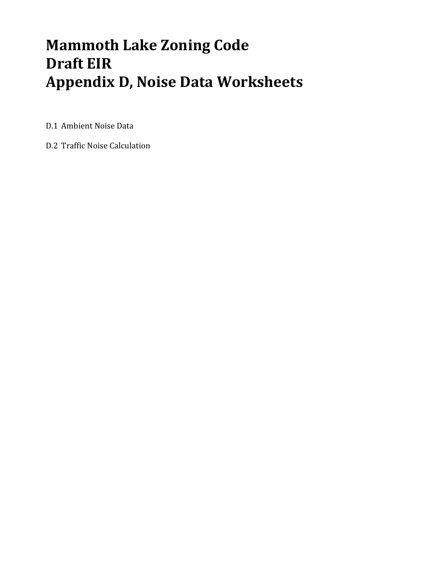# **Mammoth Lake Zoning Code Draft EIR Appendix D, Noise Data Worksheets**

D.1 Ambient Noise Data

D.2 Traffic Noise Calculation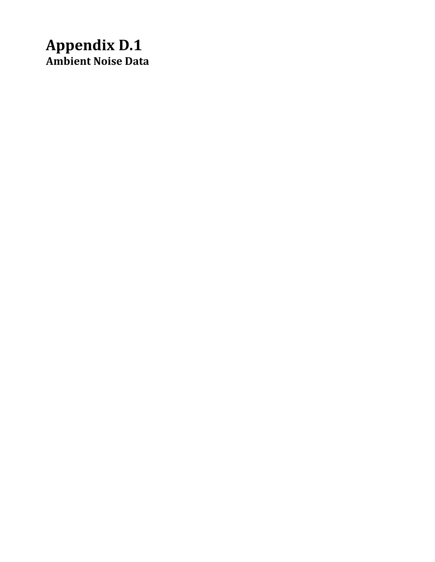# **Appendix D.1 Ambient Noise Data**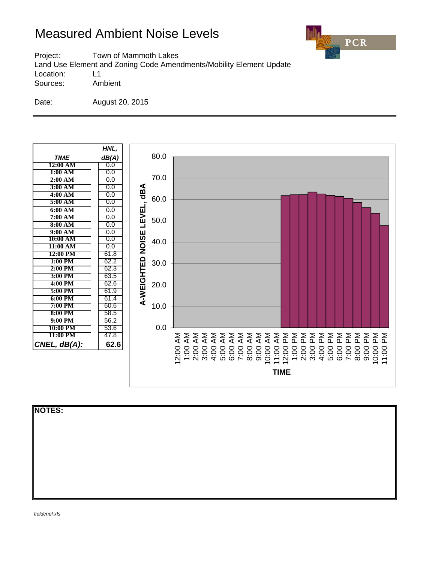

Project: Town of Mammoth Lakes Land Use Element and Zoning Code Amendments/Mobility Element Update Location: L1 Sources: Ambient

Date: August 20, 2015



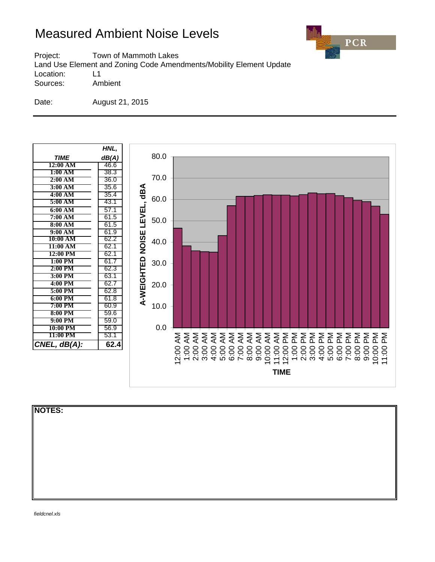

Project: Town of Mammoth Lakes Land Use Element and Zoning Code Amendments/Mobility Element Update Location: L1 Sources: Ambient

Date: August 21, 2015



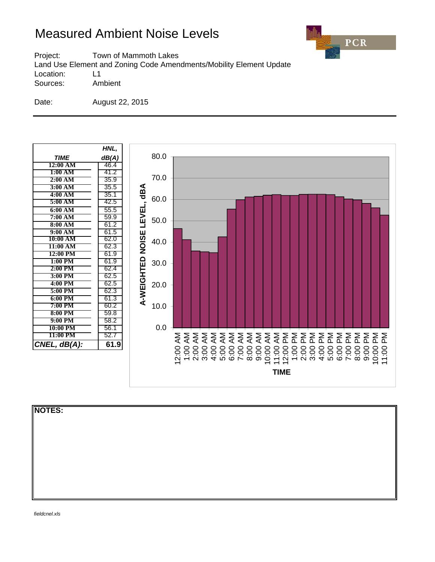

Project: Town of Mammoth Lakes Land Use Element and Zoning Code Amendments/Mobility Element Update Location: L1 Sources: Ambient

Date: August 22, 2015



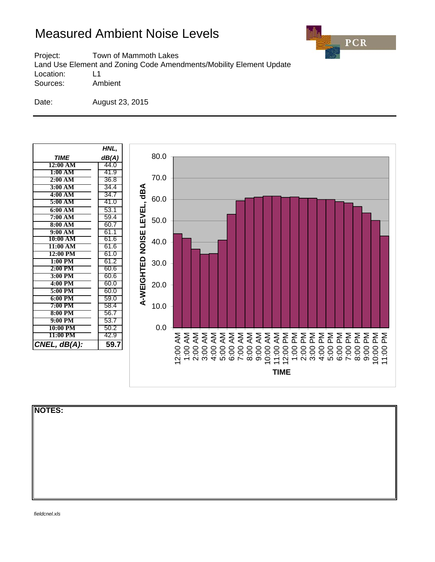

Project: Town of Mammoth Lakes Land Use Element and Zoning Code Amendments/Mobility Element Update Location: L1 Sources: Ambient

Date: August 23, 2015



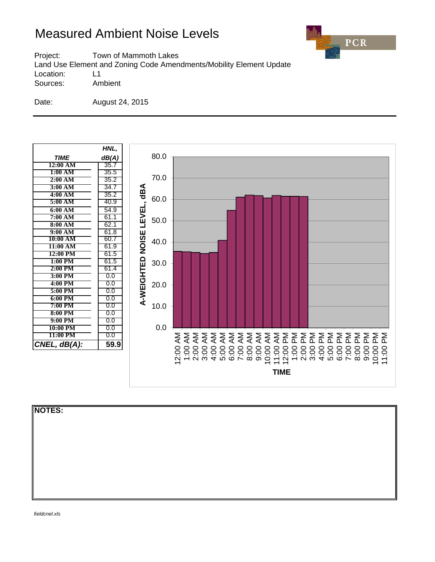

Project: Town of Mammoth Lakes Land Use Element and Zoning Code Amendments/Mobility Element Update Location: L1 Sources: Ambient

Date: August 24, 2015



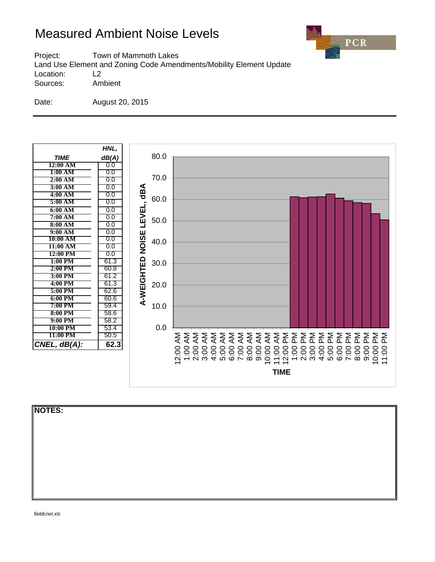

Project: Town of Mammoth Lakes Land Use Element and Zoning Code Amendments/Mobility Element Update Location: L2 Sources: Ambient

Date: August 20, 2015



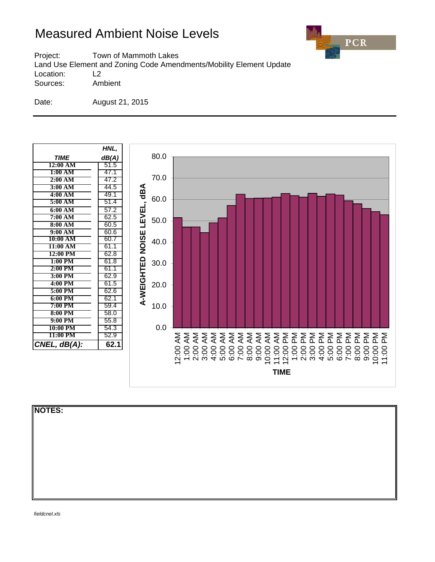

Project: Town of Mammoth Lakes Land Use Element and Zoning Code Amendments/Mobility Element Update

Location: L2

Sources: Ambient

Date: August 21, 2015



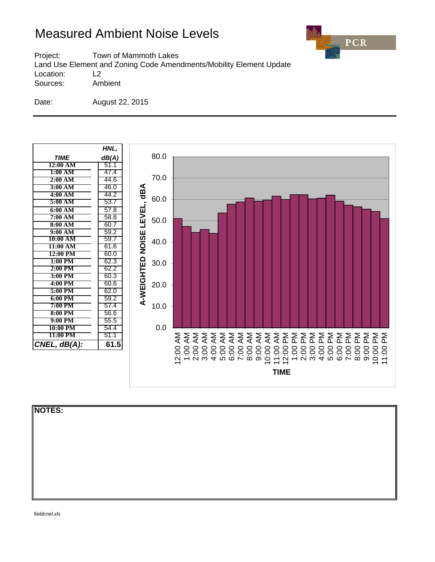

Project: Town of Mammoth Lakes Land Use Element and Zoning Code Amendments/Mobility Element Update Location: L2

Sources: Ambient

Date: August 22, 2015



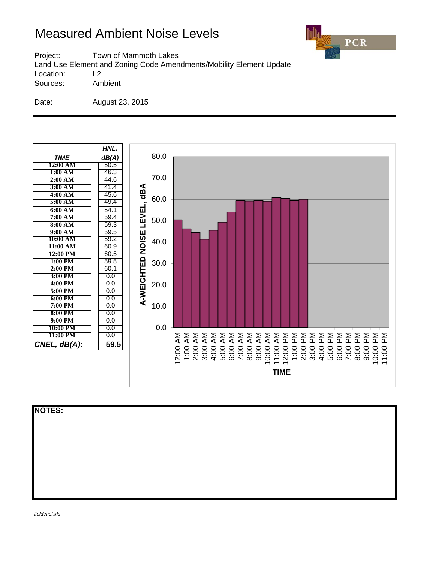

Project: Town of Mammoth Lakes Land Use Element and Zoning Code Amendments/Mobility Element Update Location: L2

Sources: Ambient

Date: August 23, 2015



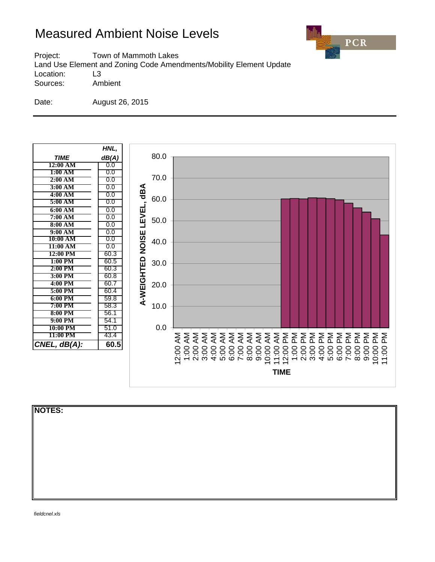

Project: Town of Mammoth Lakes Land Use Element and Zoning Code Amendments/Mobility Element Update Location: L3 Sources: Ambient

Date: August 26, 2015



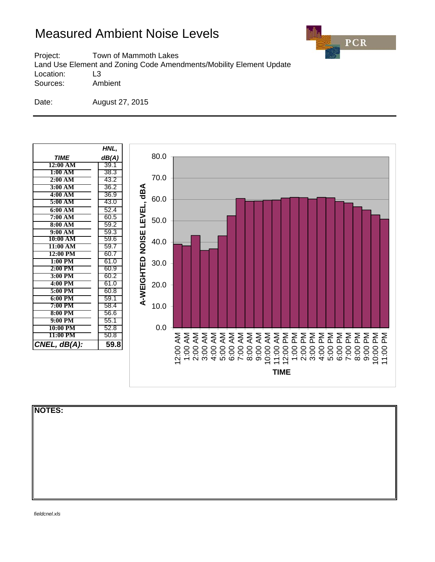

Project: Town of Mammoth Lakes Land Use Element and Zoning Code Amendments/Mobility Element Update Location: L3 Sources: Ambient

Date: August 27, 2015



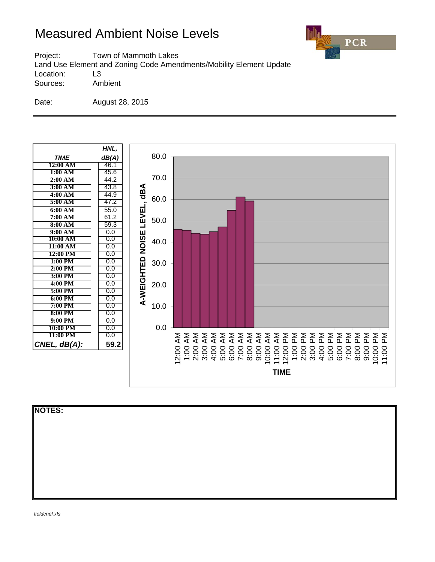

Project: Town of Mammoth Lakes Land Use Element and Zoning Code Amendments/Mobility Element Update Location: L3

Sources: Ambient

Date: August 28, 2015



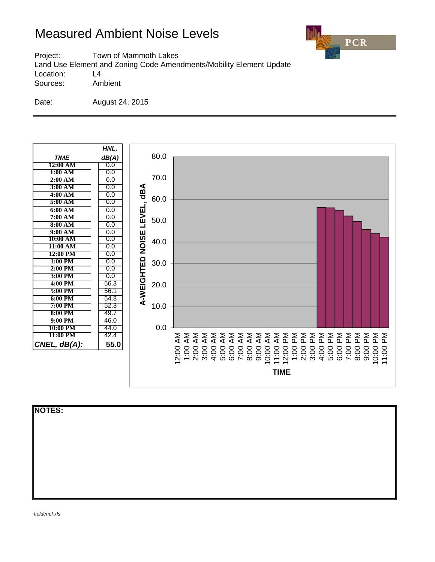

Project: Town of Mammoth Lakes Land Use Element and Zoning Code Amendments/Mobility Element Update Location: L4 Sources: Ambient

Date: August 24, 2015



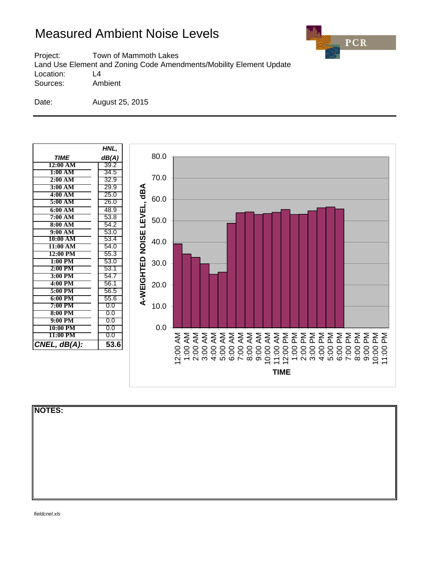

Project: Town of Mammoth Lakes Land Use Element and Zoning Code Amendments/Mobility Element Update Location: L4 Sources: Ambient

Date: August 25, 2015



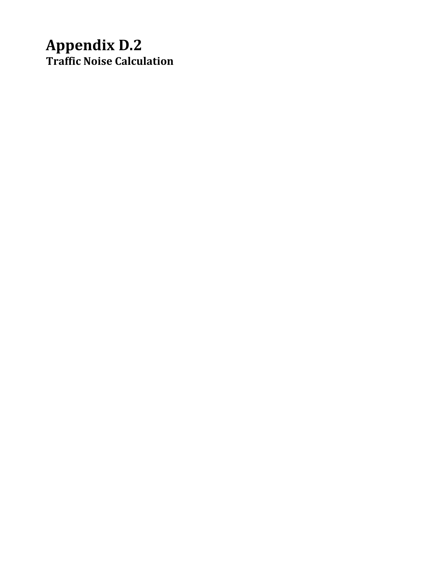# **Appendix D.2 Traffic Noise Calculation**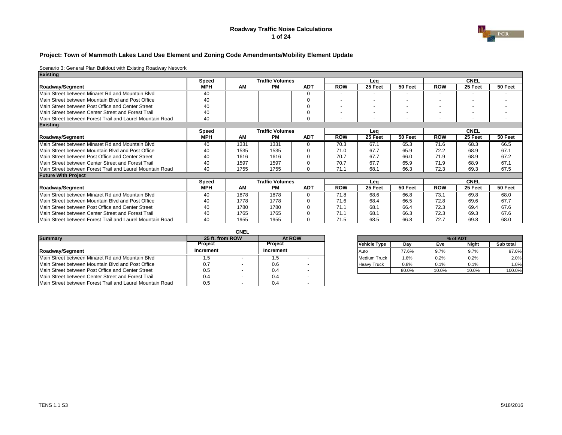#### **Roadway Traffic Noise Calculations 1 of 24**



#### **Project: Town of Mammoth Lakes Land Use Element and Zoning Code Amendments/Mobility Element Update**

| <b>Existing</b>                                           |            |      |                        |            |                          |         |                          |            |                          |         |
|-----------------------------------------------------------|------------|------|------------------------|------------|--------------------------|---------|--------------------------|------------|--------------------------|---------|
|                                                           | Speed      |      | <b>Traffic Volumes</b> |            |                          | Leg     |                          |            | <b>CNEL</b>              |         |
| Roadway/Segment                                           | <b>MPH</b> | AM   | <b>PM</b>              | <b>ADT</b> | <b>ROW</b>               | 25 Feet | 50 Feet                  | <b>ROW</b> | 25 Feet                  | 50 Feet |
| Main Street between Minaret Rd and Mountain Blyd          | 40         |      |                        | ∩          | $\overline{\phantom{a}}$ |         |                          |            | $\overline{\phantom{0}}$ |         |
| Main Street between Mountain Blyd and Post Office         | 40         |      |                        |            |                          |         |                          |            |                          |         |
| Main Street between Post Office and Center Street         | 40         |      |                        |            |                          |         | $\overline{\phantom{a}}$ |            | $\overline{\phantom{0}}$ |         |
| Main Street between Center Street and Forest Trail        | 40         |      |                        |            |                          |         |                          |            | $\overline{\phantom{0}}$ |         |
| Main Street between Forest Trail and Laurel Mountain Road | 40         |      |                        |            | $\overline{\phantom{a}}$ |         | $\overline{\phantom{0}}$ |            | $\overline{\phantom{a}}$ |         |
| <b>Existing</b>                                           |            |      |                        |            |                          |         |                          |            |                          |         |
|                                                           | Speed      |      | <b>Traffic Volumes</b> |            |                          | Leg     |                          |            | <b>CNEL</b>              |         |
| Roadway/Segment                                           | <b>MPH</b> | AM   | <b>PM</b>              | <b>ADT</b> | <b>ROW</b>               | 25 Feet | 50 Feet                  | <b>ROW</b> | 25 Feet                  | 50 Feet |
| Main Street between Minaret Rd and Mountain Blyd          | 40         | 1331 | 1331                   | U          | 70.3                     | 67.1    | 65.3                     | 71.6       | 68.3                     | 66.5    |
| Main Street between Mountain Blyd and Post Office         | 40         | 1535 | 1535                   |            | 71.0                     | 67.7    | 65.9                     | 72.2       | 68.9                     | 67.1    |
| Main Street between Post Office and Center Street         | 40         | 1616 | 1616                   |            | 70.7                     | 67.7    | 66.0                     | 71.9       | 68.9                     | 67.2    |
| Main Street between Center Street and Forest Trail        | 40         | 1597 | 1597                   |            | 70.7                     | 67.7    | 65.9                     | 71.9       | 68.9                     | 67.1    |
| Main Street between Forest Trail and Laurel Mountain Road | 40         | 1755 | 1755                   | ∩          | 71.1                     | 68.1    | 66.3                     | 72.3       | 69.3                     | 67.5    |
| <b>Future With Project</b>                                |            |      |                        |            |                          |         |                          |            |                          |         |
|                                                           | Speed      |      | <b>Traffic Volumes</b> |            |                          | Lea     |                          |            | <b>CNEL</b>              |         |
| Roadway/Segment                                           | <b>MPH</b> | AM   | <b>PM</b>              | <b>ADT</b> | <b>ROW</b>               | 25 Feet | 50 Feet                  | <b>ROW</b> | 25 Feet                  | 50 Feet |
| Main Street between Minaret Rd and Mountain Blvd          | 40         | 1878 | 1878                   | $\Omega$   | 71.8                     | 68.6    | 66.8                     | 73.1       | 69.8                     | 68.0    |
| Main Street between Mountain Blyd and Post Office         | 40         | 1778 | 1778                   |            | 71.6                     | 68.4    | 66.5                     | 72.8       | 69.6                     | 67.7    |
| Main Street between Post Office and Center Street         | 40         | 1780 | 1780                   |            | 71.1                     | 68.1    | 66.4                     | 72.3       | 69.4                     | 67.6    |
| Main Street between Center Street and Forest Trail        | 40         | 1765 | 1765                   |            | 71.1                     | 68.7    | 66.3                     | 72.3       | 69.3                     | 67.6    |
| Main Street between Forest Trail and Laurel Mountain Road | 40         | 1955 | 1955                   |            | 71.5                     | 68.5    | 66.8                     | 72.7       | 69.8                     | 68.0    |

|                                                           |                 | <b>CNEL</b> |                |  |                     |       |          |       |           |
|-----------------------------------------------------------|-----------------|-------------|----------------|--|---------------------|-------|----------|-------|-----------|
| <b>Summary</b>                                            | 25 ft. from ROW |             | At ROW         |  |                     |       | % of ADT |       |           |
|                                                           | Project         |             | <b>Project</b> |  | Vehicle Type        | Dav   | Eve      | Night | Sub total |
| Roadway/Segment                                           | Increment       |             | Increment      |  | <b>Auto</b>         | 77.6% | 9.7%     | 9.7%  | 97.0%     |
| Main Street between Minaret Rd and Mountain Blyd          | ن. ا            |             | C. I           |  | <b>Medium Truck</b> | 1.6%  | 0.2%     | 0.2%  | 2.0%      |
| Main Street between Mountain Blyd and Post Office         | 0.7             |             | 0.6            |  | <b>Heavy Truck</b>  | 0.8%  | 0.1%     | 0.1%  | 1.0%      |
| Main Street between Post Office and Center Street         | 0.5             |             | 0.4            |  |                     | 80.0% | 10.0%    | 10.0% | 100.0%    |
| Main Street between Center Street and Forest Trail        | 0.4             |             | 0.4            |  |                     |       |          |       |           |
| Main Street between Forest Trail and Laurel Mountain Road | 0.5             |             | 0.4            |  |                     |       |          |       |           |

| 25 ft. from ROW | At ROW    | % of ADT |                     |       |       |              |           |  |
|-----------------|-----------|----------|---------------------|-------|-------|--------------|-----------|--|
| Project         | Proiect   |          | <b>Vehicle Type</b> | Dav   | Eve   | <b>Night</b> | Sub total |  |
| crement         | Increment |          | Auto                | 77.6% | 9.7%  | 9.7%         | 97.0%     |  |
| 1.5             | ı.b       |          | <b>Medium Truck</b> | 1.6%  | 0.2%  | 0.2%         | 2.0%      |  |
| 0.7             | 0.6       |          | <b>Heavy Truck</b>  | 0.8%  | 0.1%  | 0.1%         | 1.0%      |  |
| 0.5             | 0.4       |          |                     | 80.0% | 10.0% | 10.0%        | 100.0%    |  |
|                 |           |          |                     |       |       |              |           |  |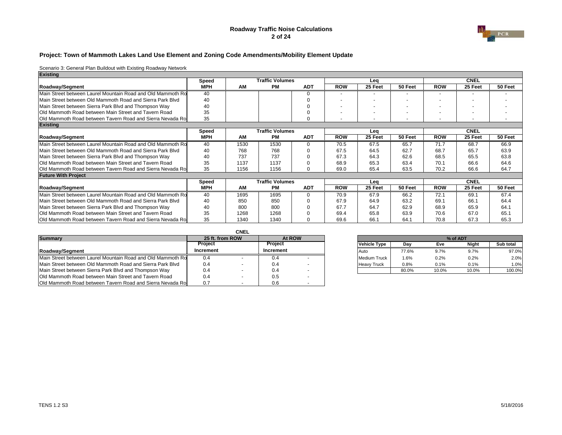#### **Roadway Traffic Noise Calculations 2 of 24**



#### **Project: Town of Mammoth Lakes Land Use Element and Zoning Code Amendments/Mobility Element Update**

| <b>Existing</b>                                                    |            |      |                        |            |                          |         |                          |            |             |         |
|--------------------------------------------------------------------|------------|------|------------------------|------------|--------------------------|---------|--------------------------|------------|-------------|---------|
|                                                                    | Speed      |      | <b>Traffic Volumes</b> |            |                          | Lea     |                          |            | <b>CNEL</b> |         |
| Roadway/Segment                                                    | <b>MPH</b> | AM   | <b>PM</b>              | <b>ADT</b> | <b>ROW</b>               | 25 Feet | 50 Feet                  | <b>ROW</b> | 25 Feet     | 50 Feet |
| Main Street between Laurel Mountain Road and Old Mammoth Ro        | 40         |      |                        | ∩          | $\overline{\phantom{a}}$ |         |                          |            |             |         |
| Main Street between Old Mammoth Road and Sierra Park Blyd          | 40         |      |                        |            |                          |         |                          |            |             |         |
| Main Street between Sierra Park Blvd and Thompson Way              | 40         |      |                        |            |                          |         | $\overline{\phantom{0}}$ |            |             |         |
| <b>Old Mammoth Road between Main Street and Tavern Road</b>        | 35         |      |                        |            |                          |         |                          |            |             |         |
| <b>Old Mammoth Road between Tavern Road and Sierra Nevada Ro.</b>  | 35         |      |                        |            |                          |         |                          |            |             |         |
| <b>Existing</b>                                                    |            |      |                        |            |                          |         |                          |            |             |         |
|                                                                    | Speed      |      | <b>Traffic Volumes</b> |            |                          | Lea     |                          |            | <b>CNEL</b> |         |
| Roadway/Segment                                                    | <b>MPH</b> | AM   | <b>PM</b>              | <b>ADT</b> | <b>ROW</b>               | 25 Feet | 50 Feet                  | <b>ROW</b> | 25 Feet     | 50 Feet |
| Main Street between Laurel Mountain Road and Old Mammoth Ro        | 40         | 1530 | 1530                   | U          | 70.5                     | 67.5    | 65.7                     | 71.7       | 68.7        | 66.9    |
| Main Street between Old Mammoth Road and Sierra Park Blyd          | 40         | 768  | 768                    |            | 67.5                     | 64.5    | 62.7                     | 68.7       | 65.7        | 63.9    |
| Main Street between Sierra Park Blvd and Thompson Way              | 40         | 737  | 737                    |            | 67.3                     | 64.3    | 62.6                     | 68.5       | 65.5        | 63.8    |
| <b>IOld Mammoth Road between Main Street and Tavern Road</b>       | 35         | 1137 | 1137                   |            | 68.9                     | 65.3    | 63.4                     | 70.1       | 66.6        | 64.6    |
| Old Mammoth Road between Tavern Road and Sierra Nevada Ro          | 35         | 1156 | 1156                   | $\Omega$   | 69.0                     | 65.4    | 63.5                     | 70.2       | 66.6        | 64.7    |
| <b>Future With Project</b>                                         |            |      |                        |            |                          |         |                          |            |             |         |
|                                                                    | Speed      |      | <b>Traffic Volumes</b> |            |                          | Lea     |                          |            | <b>CNEL</b> |         |
| Roadway/Segment                                                    | <b>MPH</b> | AM   | <b>PM</b>              | <b>ADT</b> | <b>ROW</b>               | 25 Feet | 50 Feet                  | <b>ROW</b> | 25 Feet     | 50 Feet |
| Main Street between Laurel Mountain Road and Old Mammoth Ro        | 40         | 1695 | 1695                   |            | 70.9                     | 67.9    | 66.2                     | 72.1       | 69.1        | 67.4    |
| Main Street between Old Mammoth Road and Sierra Park Blyd          | 40         | 850  | 850                    |            | 67.9                     | 64.9    | 63.2                     | 69.1       | 66.1        | 64.4    |
| Main Street between Sierra Park Blvd and Thompson Way              | 40         | 800  | 800                    |            | 67.7                     | 64.7    | 62.9                     | 68.9       | 65.9        | 64.1    |
| <b>Old Mammoth Road between Main Street and Tavern Road</b>        | 35         | 1268 | 1268                   |            | 69.4                     | 65.8    | 63.9                     | 70.6       | 67.0        | 65.1    |
| <b>IOld Mammoth Road between Tavern Road and Sierra Nevada Ro.</b> | 35         | 1340 | 1340                   |            | 69.6                     | 66.1    | 64.1                     | 70.8       | 67.3        | 65.3    |

|                                                                    |                 | <b>CNEL</b> |           |  |                     |       |          |       |           |
|--------------------------------------------------------------------|-----------------|-------------|-----------|--|---------------------|-------|----------|-------|-----------|
| <b>Summary</b>                                                     | 25 ft. from ROW |             | At ROW    |  |                     |       | % of ADT |       |           |
|                                                                    | <b>Project</b>  |             | Project   |  | Vehicle Type        | Dav   | Eve      | Night | Sub total |
| Roadway/Segment                                                    | Increment       |             | Increment |  | <b>Auto</b>         | 77.6% | 9.7%     | 9.7%  | 97.0%     |
| Main Street between Laurel Mountain Road and Old Mammoth Ro        | 0.4             |             |           |  | <b>Medium Truck</b> | .6%   | 0.2%     | 0.2%  | 2.0%      |
| Main Street between Old Mammoth Road and Sierra Park Blyd          | 0.4             |             | 0.4       |  | <b>Heavy Truck</b>  | 0.8%  | 0.1%     | 0.1%  | 1.0%      |
| Main Street between Sierra Park Blvd and Thompson Way              | 0.4             |             | 0.4       |  |                     | 80.0% | 10.0%    | 10.0% | 100.0%    |
| <b>Old Mammoth Road between Main Street and Tavern Road</b>        | 0.4             |             | 0.5       |  |                     |       |          |       |           |
| <b>Old Mammoth Road between Tavern Road and Sierra Nevada Road</b> | 0.7             |             | 0.6       |  |                     |       |          |       |           |

| 25 ft. from ROW | At ROW    |                     |       | % of ADT |              |           |
|-----------------|-----------|---------------------|-------|----------|--------------|-----------|
| Proiect         | Proiect   | <b>Vehicle Type</b> | Dav   | Eve      | <b>Night</b> | Sub total |
| crement         | Increment | Auto                | 77.6% | 9.7%     | 9.7%         | 97.0%     |
| 0.4             | 0.4       | <b>Medium Truck</b> | 1.6%  | 0.2%     | 0.2%         | 2.0%      |
| 0.4             | 0.4       | <b>Heavy Truck</b>  | 0.8%  | 0.1%     | 0.1%         | 1.0%      |
| 0.4             | 0.4       |                     | 80.0% | 10.0%    | 10.0%        | 100.0%    |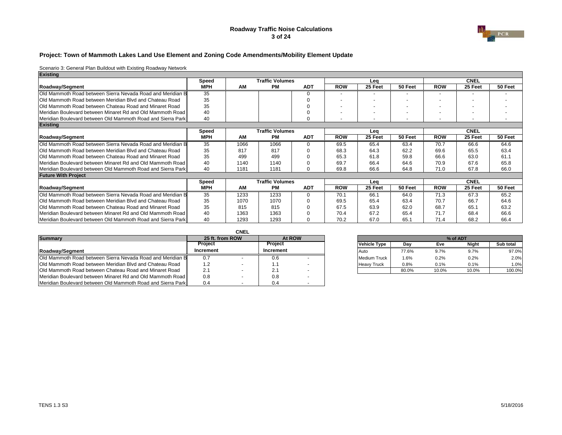#### **Roadway Traffic Noise Calculations 3 of 24**



#### **Project: Town of Mammoth Lakes Land Use Element and Zoning Code Amendments/Mobility Element Update**

| <b>Existing</b>                                                     |            |      |                        |            |                          |         |         |            |                          |         |
|---------------------------------------------------------------------|------------|------|------------------------|------------|--------------------------|---------|---------|------------|--------------------------|---------|
|                                                                     | Speed      |      | <b>Traffic Volumes</b> |            |                          | Lea     |         |            | <b>CNEL</b>              |         |
| Roadway/Segment                                                     | <b>MPH</b> | AM   | PМ                     | <b>ADT</b> | <b>ROW</b>               | 25 Feet | 50 Feet | <b>ROW</b> | 25 Feet                  | 50 Feet |
| Old Mammoth Road between Sierra Nevada Road and Meridian B          | 35         |      |                        |            |                          |         |         |            | -                        |         |
| <b>Old Mammoth Road between Meridian Blvd and Chateau Road</b>      | 35         |      |                        |            |                          |         |         |            |                          |         |
| <b>IOld Mammoth Road between Chateau Road and Minaret Road</b>      | 35         |      |                        |            | $\overline{\phantom{0}}$ |         |         |            | $\overline{\phantom{0}}$ |         |
| Meridian Boulevard between Minaret Rd and Old Mammoth Road          | 40         |      |                        |            |                          |         |         |            | $\sim$                   |         |
| Meridian Boulevard between Old Mammoth Road and Sierra Park         | 40         |      |                        |            | $\overline{\phantom{0}}$ |         |         |            | $\overline{\phantom{0}}$ |         |
| <b>Existing</b>                                                     |            |      |                        |            |                          |         |         |            |                          |         |
|                                                                     | Speed      |      | <b>Traffic Volumes</b> |            |                          | Lea     |         |            | <b>CNEL</b>              |         |
| Roadway/Segment                                                     | <b>MPH</b> | AM   | <b>PM</b>              | <b>ADT</b> | <b>ROW</b>               | 25 Feet | 50 Feet | <b>ROW</b> | 25 Feet                  | 50 Feet |
| Old Mammoth Road between Sierra Nevada Road and Meridian B          | 35         | 1066 | 1066                   |            | 69.5                     | 65.4    | 63.4    | 70.7       | 66.6                     | 64.6    |
| <b>Old Mammoth Road between Meridian Blvd and Chateau Road</b>      | 35         | 817  | 817                    |            | 68.3                     | 64.3    | 62.2    | 69.6       | 65.5                     | 63.4    |
| <b>Old Mammoth Road between Chateau Road and Minaret Road</b>       | 35         | 499  | 499                    |            | 65.3                     | 61.8    | 59.8    | 66.6       | 63.0                     | 61.1    |
| Meridian Boulevard between Minaret Rd and Old Mammoth Road          | 40         | 1140 | 1140                   |            | 69.7                     | 66.4    | 64.6    | 70.9       | 67.6                     | 65.8    |
| Meridian Boulevard between Old Mammoth Road and Sierra Park         | 40         | 1181 | 1181                   |            | 69.8                     | 66.6    | 64.8    | 71.0       | 67.8                     | 66.0    |
| <b>Future With Project</b>                                          |            |      |                        |            |                          |         |         |            |                          |         |
|                                                                     | Speed      |      | <b>Traffic Volumes</b> |            |                          | Lea     |         |            | <b>CNEL</b>              |         |
| Roadway/Segment                                                     | <b>MPH</b> | AM   | <b>PM</b>              | <b>ADT</b> | <b>ROW</b>               | 25 Feet | 50 Feet | <b>ROW</b> | 25 Feet                  | 50 Feet |
| <b>IOld Mammoth Road between Sierra Nevada Road and Meridian B</b>  | 35         | 1233 | 1233                   |            | 70.1                     | 66.1    | 64.0    | 71.3       | 67.3                     | 65.2    |
| <b>Old Mammoth Road between Meridian Blvd and Chateau Road</b>      | 35         | 1070 | 1070                   |            | 69.5                     | 65.4    | 63.4    | 70.7       | 66.7                     | 64.6    |
| <b>IOld Mammoth Road between Chateau Road and Minaret Road</b>      | 35         | 815  | 815                    |            | 67.5                     | 63.9    | 62.0    | 68.7       | 65.1                     | 63.2    |
| Meridian Boulevard between Minaret Rd and Old Mammoth Road          | 40         | 1363 | 1363                   |            | 70.4                     | 67.2    | 65.4    | 71.7       | 68.4                     | 66.6    |
| <b>IMeridian Boulevard between Old Mammoth Road and Sierra Park</b> | 40         | 1293 | 1293                   |            | 70.2                     | 67.0    | 65.7    | 71.4       | 68.2                     | 66.4    |

|                                                                   |                 | <b>CNEL</b> |                |  |                     |       |       |          |           |
|-------------------------------------------------------------------|-----------------|-------------|----------------|--|---------------------|-------|-------|----------|-----------|
| <b>Summary</b>                                                    | 25 ft. from ROW |             | At ROW         |  |                     |       |       | % of ADT |           |
|                                                                   | Project         |             | <b>Project</b> |  | Vehicle Type        | Dav   | Eve   | Niaht    | Sub total |
| <b>Roadwav/Segment</b>                                            | Increment       |             | Increment      |  | <b>Auto</b>         | 77.6% | 9.7%  | 9.7%     | 97.0%     |
| <b>Old Mammoth Road between Sierra Nevada Road and Meridian B</b> | 0.7             |             | U.b            |  | <b>Medium Truck</b> | .6%   | 0.2%  | 0.2%     | 2.0%      |
| Old Mammoth Road between Meridian Blyd and Chateau Road           | 1.2             |             |                |  | <b>Heavy Truck</b>  | 0.8%  | 0.1%  | 0.1%     | 1.0%      |
| Old Mammoth Road between Chateau Road and Minaret Road            | 2.1             |             | 2.1            |  |                     | 80.0% | 10.0% | 10.0%    | 100.0%    |
| Meridian Boulevard between Minaret Rd and Old Mammoth Road        | 0.8             |             | 0.8            |  |                     |       |       |          |           |
| Meridian Boulevard between Old Mammoth Road and Sierra Park       | 0.4             |             |                |  |                     |       |       |          |           |

| 25 ft. from ROW | At ROW    |                     |       | % of ADT |              |           |
|-----------------|-----------|---------------------|-------|----------|--------------|-----------|
| Proiect         | Proiect   | <b>Vehicle Type</b> | Dav   | Eve      | <b>Night</b> | Sub total |
| crement         | Increment | Auto                | 77.6% | 9.7%     | 9.7%         | 97.0%     |
| 0.7             | 0.6       | <b>Medium Truck</b> | 1.6%  | 0.2%     | 0.2%         | 2.0%      |
| $\sqrt{2}$      | . .       | <b>Heavy Truck</b>  | 0.8%  | 0.1%     | 0.1%         | 1.0%      |
| Z.              |           |                     | 80.0% | 10.0%    | 10.0%        | 100.0%    |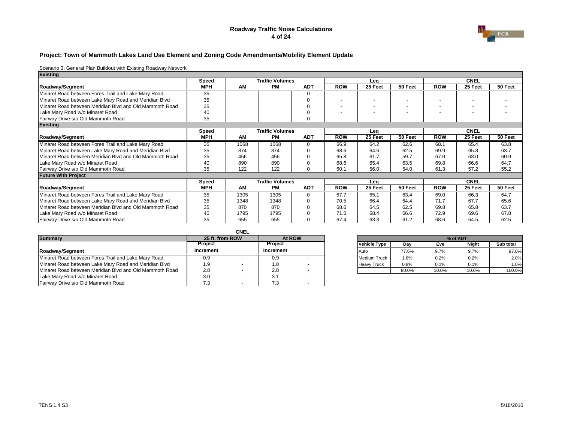#### **Roadway Traffic Noise Calculations 4 of 24**



#### **Project: Town of Mammoth Lakes Land Use Element and Zoning Code Amendments/Mobility Element Update**

| <b>Existing</b>                                         |              |      |                        |            |            |         |         |            |                          |         |
|---------------------------------------------------------|--------------|------|------------------------|------------|------------|---------|---------|------------|--------------------------|---------|
|                                                         | <b>Speed</b> |      | <b>Traffic Volumes</b> |            |            | Lea     |         |            | <b>CNEL</b>              |         |
| Roadway/Segment                                         | <b>MPH</b>   | AM   | <b>PM</b>              | <b>ADT</b> | <b>ROW</b> | 25 Feet | 50 Feet | <b>ROW</b> | 25 Feet                  | 50 Feet |
| Minaret Road between Fores Trail and Lake Mary Road     | 35           |      |                        |            |            |         |         |            |                          |         |
| Minaret Road between Lake Mary Road and Meridian Blvd   | 35           |      |                        |            |            |         |         |            |                          |         |
| Minaret Road between Meridian Blvd and Old Mammoth Road | 35           |      |                        |            |            |         |         |            | $\sim$                   |         |
| Lake Mary Road w/o Minaret Road                         | 40           |      |                        |            |            |         |         |            |                          |         |
| Fairway Drive s/o Old Mammoth Road                      | 35           |      |                        |            |            |         |         |            | $\overline{\phantom{0}}$ |         |
| <b>Existing</b>                                         |              |      |                        |            |            |         |         |            |                          |         |
|                                                         | Speed        |      | <b>Traffic Volumes</b> |            |            | Leg     |         |            | <b>CNEL</b>              |         |
| Roadway/Segment                                         | <b>MPH</b>   | AM   | <b>PM</b>              | <b>ADT</b> | <b>ROW</b> | 25 Feet | 50 Feet | <b>ROW</b> | 25 Feet                  | 50 Feet |
| Minaret Road between Fores Trail and Lake Mary Road     | 35           | 1068 | 1068                   | $\Omega$   | 66.9       | 64.2    | 62.6    | 68.1       | 65.4                     | 63.8    |
| Minaret Road between Lake Mary Road and Meridian Blvd   | 35           | 874  | 874                    |            | 68.6       | 64.6    | 62.5    | 69.9       | 65.8                     | 63.7    |
| Minaret Road between Meridian Blvd and Old Mammoth Road | 35           | 456  | 456                    |            | 65.8       | 61.7    | 59.7    | 67.0       | 63.0                     | 60.9    |
| Lake Mary Road w/o Minaret Road                         | 40           | 890  | 890                    |            | 68.6       | 65.4    | 63.5    | 69.8       | 66.6                     | 64.7    |
| Fairway Drive s/o Old Mammoth Road                      | 35           | 122  | 122                    | $\Omega$   | 60.1       | 56.0    | 54.0    | 61.3       | 57.2                     | 55.2    |
| <b>Future With Project</b>                              |              |      |                        |            |            |         |         |            |                          |         |
|                                                         | Speed        |      | <b>Traffic Volumes</b> |            |            | Leg     |         |            | <b>CNEL</b>              |         |
| Roadway/Segment                                         | <b>MPH</b>   | AM   | PM                     | <b>ADT</b> | <b>ROW</b> | 25 Feet | 50 Feet | <b>ROW</b> | 25 Feet                  | 50 Feet |
| Minaret Road between Fores Trail and Lake Mary Road     | 35           | 1305 | 1305                   | O          | 67.7       | 65.1    | 63.4    | 69.0       | 66.3                     | 64.7    |
| Minaret Road between Lake Mary Road and Meridian Blvd   | 35           | 1348 | 1348                   |            | 70.5       | 66.4    | 64.4    | 71.7       | 67.7                     | 65.6    |
| Minaret Road between Meridian Blvd and Old Mammoth Road | 35           | 870  | 870                    |            | 68.6       | 64.5    | 62.5    | 69.8       | 65.8                     | 63.7    |
| Lake Mary Road w/o Minaret Road                         | 40           | 1795 | 1795                   |            | 71.6       | 68.4    | 66.6    | 72.9       | 69.6                     | 67.8    |
| Fairway Drive s/o Old Mammoth Road                      | 35           | 655  | 655                    |            | 67.4       | 63.3    | 61.2    | 68.6       | 64.5                     | 62.5    |

|                                                         |                 | <b>CNEL</b> |                |                          |                     |       |          |       |           |
|---------------------------------------------------------|-----------------|-------------|----------------|--------------------------|---------------------|-------|----------|-------|-----------|
| <b>Summary</b>                                          | 25 ft. from ROW |             | At ROW         |                          |                     |       | % of ADT |       |           |
|                                                         | Project         |             | <b>Project</b> |                          | Vehicle Type        | Dav   | Eve      | Niaht | Sub total |
| Roadway/Segment                                         | Increment       |             | Increment      |                          | <b>Auto</b>         | 77.6% | 9.7%     | 9.7%  | 97.0%     |
| Minaret Road between Fores Trail and Lake Mary Road     | 0.9             |             | 0.9            |                          | <b>Medium Truck</b> | 1.6%  | 0.2%     | 0.2%  | 2.0%      |
| Minaret Road between Lake Mary Road and Meridian Blvd   | 9. ا            |             | 1.8            |                          | <b>Heavy Truck</b>  | 0.8%  | 0.1%     | 0.1%  | 1.0%      |
| Minaret Road between Meridian Blvd and Old Mammoth Road | 2.8             |             | 2.8            |                          |                     | 80.0% | 10.0%    | 10.0% | 100.0%    |
| Lake Mary Road w/o Minaret Road                         | 3.0             |             | 3.1            |                          |                     |       |          |       |           |
| Fairway Drive s/o Old Mammoth Road                      | 7.3             | -           | 71             | $\overline{\phantom{a}}$ |                     |       |          |       |           |

| 25 ft. from ROW |           | At ROW |                     |       |       | % of ADT     |           |
|-----------------|-----------|--------|---------------------|-------|-------|--------------|-----------|
| Project         | Project   |        | <b>Vehicle Type</b> | Dav   | Eve   | <b>Night</b> | Sub total |
| crement         | Increment |        | Auto                | 77.6% | 9.7%  | 9.7%         | 97.0%     |
| 0.9             | 0.9       |        | <b>Medium Truck</b> | 1.6%  | 0.2%  | 0.2%         | 2.0%      |
| 1.9             | 1.8       |        | <b>Heavy Truck</b>  | 0.8%  | 0.1%  | 0.1%         | 1.0%      |
| 2.8             | 2.8       |        |                     | 80.0% | 10.0% | 10.0%        | 100.0%    |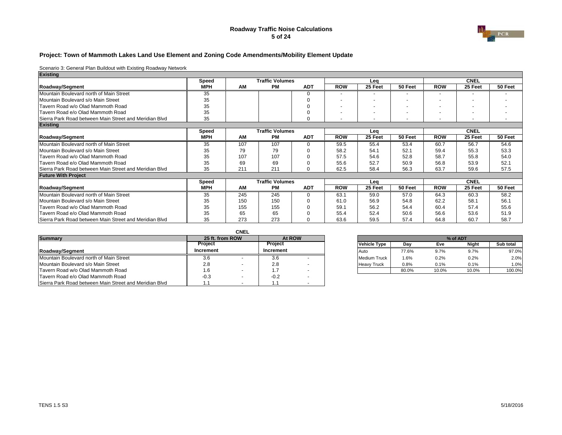#### **Roadway Traffic Noise Calculations 5 of 24**



#### **Project: Town of Mammoth Lakes Land Use Element and Zoning Code Amendments/Mobility Element Update**

| <b>Existing</b>                                        |            |     |                        |            |                          |         |                          |            |                          |         |
|--------------------------------------------------------|------------|-----|------------------------|------------|--------------------------|---------|--------------------------|------------|--------------------------|---------|
|                                                        | Speed      |     | <b>Traffic Volumes</b> |            |                          | Leg     |                          |            | <b>CNEL</b>              |         |
| Roadway/Segment                                        | <b>MPH</b> | AM  | <b>PM</b>              | <b>ADT</b> | <b>ROW</b>               | 25 Feet | 50 Feet                  | <b>ROW</b> | 25 Feet                  | 50 Feet |
| Mountain Boulevard north of Main Street                | 35         |     |                        |            |                          |         |                          |            |                          |         |
| Mountain Boulevard s/o Main Street                     | 35         |     |                        |            |                          |         |                          |            |                          |         |
| Tavern Road w/o Olad Mammoth Road                      | 35         |     |                        |            | $\overline{\phantom{a}}$ |         | $\overline{\phantom{a}}$ |            | $\overline{\phantom{0}}$ |         |
| Tavern Road e/o Olad Mammoth Road                      | 35         |     |                        |            | $\overline{\phantom{a}}$ |         |                          |            | $\overline{\phantom{0}}$ |         |
| Sierra Park Road between Main Street and Meridian Blyd | 35         |     |                        | $\Omega$   | $\overline{\phantom{a}}$ |         | $\overline{\phantom{0}}$ |            | $\overline{\phantom{a}}$ |         |
| <b>Existing</b>                                        |            |     |                        |            |                          |         |                          |            |                          |         |
|                                                        | Speed      |     | <b>Traffic Volumes</b> |            |                          | Leg     |                          |            | <b>CNEL</b>              |         |
| Roadway/Segment                                        | <b>MPH</b> | AM  | <b>PM</b>              | <b>ADT</b> | <b>ROW</b>               | 25 Feet | 50 Feet                  | <b>ROW</b> | 25 Feet                  | 50 Feet |
| Mountain Boulevard north of Main Street                | 35         | 107 | 107                    |            | 59.5                     | 55.4    | 53.4                     | 60.7       | 56.7                     | 54.6    |
| Mountain Boulevard s/o Main Street                     | 35         | 79  | 79                     |            | 58.2                     | 54.1    | 52.1                     | 59.4       | 55.3                     | 53.3    |
| Tavern Road w/o Olad Mammoth Road                      | 35         | 107 | 107                    |            | 57.5                     | 54.6    | 52.8                     | 58.7       | 55.8                     | 54.0    |
| Tavern Road e/o Olad Mammoth Road                      | 35         | 69  | 69                     |            | 55.6                     | 52.7    | 50.9                     | 56.8       | 53.9                     | 52.1    |
| Sierra Park Road between Main Street and Meridian Blyd | 35         | 211 | 211                    | $\Omega$   | 62.5                     | 58.4    | 56.3                     | 63.7       | 59.6                     | 57.5    |
| <b>Future With Project</b>                             |            |     |                        |            |                          |         |                          |            |                          |         |
|                                                        | Speed      |     | <b>Traffic Volumes</b> |            |                          | Leg     |                          |            | <b>CNEL</b>              |         |
| Roadway/Segment                                        | <b>MPH</b> | AM  | PМ                     | <b>ADT</b> | <b>ROW</b>               | 25 Feet | 50 Feet                  | <b>ROW</b> | 25 Feet                  | 50 Feet |
| Mountain Boulevard north of Main Street                | 35         | 245 | 245                    |            | 63.1                     | 59.0    | 57.0                     | 64.3       | 60.3                     | 58.2    |
| Mountain Boulevard s/o Main Street                     | 35         | 150 | 150                    |            | 61.0                     | 56.9    | 54.8                     | 62.2       | 58.1                     | 56.1    |
| Tavern Road w/o Olad Mammoth Road                      | 35         | 155 | 155                    |            | 59.1                     | 56.2    | 54.4                     | 60.4       | 57.4                     | 55.6    |
| Tavern Road e/o Olad Mammoth Road                      | 35         | 65  | 65                     |            | 55.4                     | 52.4    | 50.6                     | 56.6       | 53.6                     | 51.9    |
| Sierra Park Road between Main Street and Meridian Blyd | 35         | 273 | 273                    |            | 63.6                     | 59.5    | 57.4                     | 64.8       | 60.7                     | 58.7    |

|                                                        |           | CNEL            |                |        |  |                     |         |       |       |                  |  |
|--------------------------------------------------------|-----------|-----------------|----------------|--------|--|---------------------|---------|-------|-------|------------------|--|
| <b>Summary</b>                                         |           | 25 ft. from ROW |                | At ROW |  | % of ADT            |         |       |       |                  |  |
|                                                        | Project   |                 | <b>Project</b> |        |  | Vehicle Type        | Dav     | Eve   | Night | <b>Sub total</b> |  |
| Roadway/Segment                                        | Increment |                 | Increment      |        |  | <b>Auto</b>         | 77.6%   | 9.7%  | 9.7%  | 97.0%            |  |
| Mountain Boulevard north of Main Street                | 3.6       |                 | 3.6            |        |  | <b>Medium Truck</b> | $1.6\%$ | 0.2%  | 0.2%  | 2.0%             |  |
| Mountain Boulevard s/o Main Street                     | 2.8       |                 | 2.8            |        |  | <b>Heavy Truck</b>  | 0.8%    | 0.1%  | 0.1%  | 1.0%             |  |
| Tavern Road w/o Olad Mammoth Road                      | ، 6       |                 | .              |        |  |                     | 80.0%   | 10.0% | 10.0% | 100.0%           |  |
| Tavern Road e/o Olad Mammoth Road                      | $-0.3$    |                 | $-0.2$         |        |  |                     |         |       |       |                  |  |
| Sierra Park Road between Main Street and Meridian Blvd |           |                 |                |        |  |                     |         |       |       |                  |  |

| 25 ft. from ROW | At ROW    |                     | % of ADT |       |              |           |  |  |  |
|-----------------|-----------|---------------------|----------|-------|--------------|-----------|--|--|--|
| Proiect         | Proiect   | <b>Vehicle Type</b> | Dav      | Eve   | <b>Night</b> | Sub total |  |  |  |
| crement         | Increment | Auto                | 77.6%    | 9.7%  | 9.7%         | 97.0%     |  |  |  |
| 3.6             | 3.6       | <b>Medium Truck</b> | 1.6%     | 0.2%  | 0.2%         | 2.0%      |  |  |  |
| 2.8             | 2.8       | <b>Heavy Truck</b>  | 0.8%     | 0.1%  | 0.1%         | 1.0%      |  |  |  |
| 1.6             | 1.7       |                     | 80.0%    | 10.0% | 10.0%        | 100.0%    |  |  |  |
|                 |           |                     |          |       |              |           |  |  |  |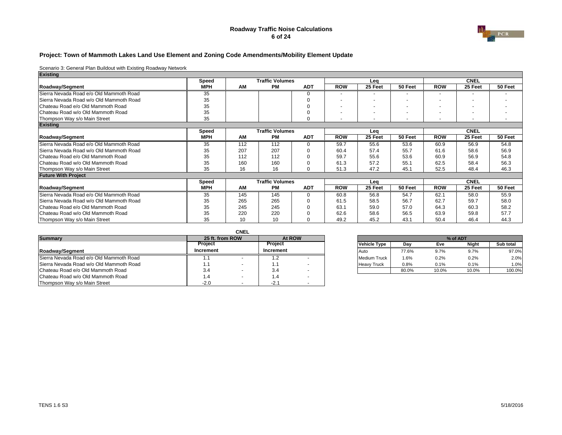#### **Roadway Traffic Noise Calculations 6 of 24**



#### **Project: Town of Mammoth Lakes Land Use Element and Zoning Code Amendments/Mobility Element Update**

| <b>Existing</b>                         |            |     |                        |            |                          |         |                          |            |                          |         |
|-----------------------------------------|------------|-----|------------------------|------------|--------------------------|---------|--------------------------|------------|--------------------------|---------|
|                                         | Speed      |     | <b>Traffic Volumes</b> |            |                          | Lea     |                          |            | <b>CNEL</b>              |         |
| Roadway/Segment                         | <b>MPH</b> | AM  | <b>PM</b>              | <b>ADT</b> | <b>ROW</b>               | 25 Feet | 50 Feet                  | <b>ROW</b> | 25 Feet                  | 50 Feet |
| Sierra Nevada Road e/o Old Mammoth Road | 35         |     |                        | U          |                          |         |                          |            |                          |         |
| Sierra Nevada Road w/o Old Mammoth Road | 35         |     |                        |            |                          |         | $\overline{\phantom{a}}$ |            | $\overline{\phantom{0}}$ |         |
| Chateau Road e/o Old Mammoth Road       | 35         |     |                        |            | $\overline{\phantom{a}}$ | ۰       |                          |            | $\overline{\phantom{0}}$ |         |
| Chateau Road w/o Old Mammoth Road       | 35         |     |                        |            | $\overline{\phantom{0}}$ |         |                          |            | $\overline{\phantom{0}}$ |         |
| Thompson Way s/o Main Street            | 35         |     |                        | $\Omega$   |                          |         |                          |            | $\overline{\phantom{a}}$ |         |
| <b>Existing</b>                         |            |     |                        |            |                          |         |                          |            |                          |         |
|                                         | Speed      |     | <b>Traffic Volumes</b> |            |                          | Leg     |                          |            | <b>CNEL</b>              |         |
| Roadway/Segment                         | <b>MPH</b> | AM  | <b>PM</b>              | <b>ADT</b> | <b>ROW</b>               | 25 Feet | 50 Feet                  | <b>ROW</b> | 25 Feet                  | 50 Feet |
| Sierra Nevada Road e/o Old Mammoth Road | 35         | 112 | 112                    | $\Omega$   | 59.7                     | 55.6    | 53.6                     | 60.9       | 56.9                     | 54.8    |
| Sierra Nevada Road w/o Old Mammoth Road | 35         | 207 | 207                    |            | 60.4                     | 57.4    | 55.7                     | 61.6       | 58.6                     | 56.9    |
| Chateau Road e/o Old Mammoth Road       | 35         | 112 | 112                    |            | 59.7                     | 55.6    | 53.6                     | 60.9       | 56.9                     | 54.8    |
| Chateau Road w/o Old Mammoth Road       | 35         | 160 | 160                    |            | 61.3                     | 57.2    | 55.1                     | 62.5       | 58.4                     | 56.3    |
| Thompson Way s/o Main Street            | 35         | 16  | 16                     | $\Omega$   | 51.3                     | 47.2    | 45.1                     | 52.5       | 48.4                     | 46.3    |
| <b>Future With Project</b>              |            |     |                        |            |                          |         |                          |            |                          |         |
|                                         | Speed      |     | <b>Traffic Volumes</b> |            |                          | Lea     |                          |            | <b>CNEL</b>              |         |
| Roadway/Segment                         | <b>MPH</b> | AM  | <b>PM</b>              | <b>ADT</b> | <b>ROW</b>               | 25 Feet | 50 Feet                  | <b>ROW</b> | 25 Feet                  | 50 Feet |
| Sierra Nevada Road e/o Old Mammoth Road | 35         | 145 | 145                    | $\Omega$   | 60.8                     | 56.8    | 54.7                     | 62.1       | 58.0                     | 55.9    |
| Sierra Nevada Road w/o Old Mammoth Road | 35         | 265 | 265                    |            | 61.5                     | 58.5    | 56.7                     | 62.7       | 59.7                     | 58.0    |
| Chateau Road e/o Old Mammoth Road       | 35         | 245 | 245                    |            | 63.1                     | 59.0    | 57.0                     | 64.3       | 60.3                     | 58.2    |
| Chateau Road w/o Old Mammoth Road       | 35         | 220 | 220                    |            | 62.6                     | 58.6    | 56.5                     | 63.9       | 59.8                     | 57.7    |
| Thompson Way s/o Main Street            | 35         | 10  | 10                     |            | 49.2                     | 45.2    | 43.1                     | 50.4       | 46.4                     | 44.3    |

|                                         |           | <b>CNEL</b>     |           |                          |  |                     |       |       |       |           |  |  |
|-----------------------------------------|-----------|-----------------|-----------|--------------------------|--|---------------------|-------|-------|-------|-----------|--|--|
| <b>Summary</b>                          |           | 25 ft. from ROW |           | At ROW                   |  | % of ADT            |       |       |       |           |  |  |
|                                         | Project   |                 | Project   |                          |  | Vehicle Type        | Dav   | Eve   | Night | Sub total |  |  |
| Roadway/Segment                         | Increment |                 | Increment |                          |  | Auto                | 77.6% | 9.7%  | 9.7%  | 97.0%     |  |  |
| Sierra Nevada Road e/o Old Mammoth Road | . .       |                 | ے. ا      |                          |  | <b>Medium Truck</b> | .6%   | 0.2%  | 0.2%  | 2.0%      |  |  |
| Sierra Nevada Road w/o Old Mammoth Road | 1.1       |                 |           |                          |  | <b>Heavy Truck</b>  | 0.8%  | 0.1%  | 0.1%  | 1.0%      |  |  |
| Chateau Road e/o Old Mammoth Road       | 3.4       |                 | 3.4       |                          |  |                     | 80.0% | 10.0% | 10.0% | 100.0%    |  |  |
| Chateau Road w/o Old Mammoth Road       | 1.4       |                 |           |                          |  |                     |       |       |       |           |  |  |
| Thompson Way s/o Main Street            | $-2.0$    |                 | $-2.$     | $\overline{\phantom{a}}$ |  |                     |       |       |       |           |  |  |

| 25 ft. from ROW | At ROW     |                     | % of ADT |       |              |           |  |  |  |
|-----------------|------------|---------------------|----------|-------|--------------|-----------|--|--|--|
| Proiect         | Proiect    | <b>Vehicle Type</b> | Dav      | Eve   | <b>Night</b> | Sub total |  |  |  |
| crement         | Increment  | Auto                | 77.6%    | 9.7%  | 9.7%         | 97.0%     |  |  |  |
| . .             | $\epsilon$ | <b>Medium Truck</b> | 1.6%     | 0.2%  | 0.2%         | 2.0%      |  |  |  |
|                 | . .        | <b>Heavy Truck</b>  | 0.8%     | 0.1%  | 0.1%         | 1.0%      |  |  |  |
| 3.4             | 3.4        |                     | 80.0%    | 10.0% | 10.0%        | 100.0%    |  |  |  |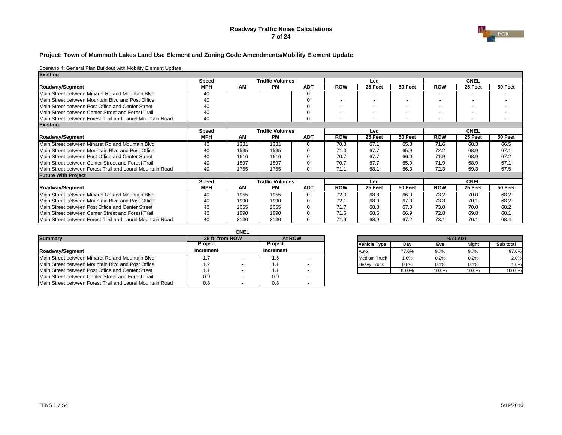#### **Roadway Traffic Noise Calculations 7 of 24**



#### **Project: Town of Mammoth Lakes Land Use Element and Zoning Code Amendments/Mobility Element Update**

| Existing                                                  |            |      |                        |            |                          |         |         |            |             |         |
|-----------------------------------------------------------|------------|------|------------------------|------------|--------------------------|---------|---------|------------|-------------|---------|
|                                                           | Speed      |      | <b>Traffic Volumes</b> |            |                          | Lea     |         |            | <b>CNEL</b> |         |
| Roadway/Segment                                           | <b>MPH</b> | AM   | <b>PM</b>              | <b>ADT</b> | <b>ROW</b>               | 25 Feet | 50 Feet | <b>ROW</b> | 25 Feet     | 50 Feet |
| Main Street between Minaret Rd and Mountain Blvd          | 40         |      |                        |            |                          |         |         |            |             |         |
| Main Street between Mountain Blyd and Post Office         | 40         |      |                        |            | $\overline{\phantom{0}}$ |         |         |            |             |         |
| Main Street between Post Office and Center Street         | 40         |      |                        |            | $\overline{\phantom{0}}$ |         |         |            |             |         |
| Main Street between Center Street and Forest Trail        | 40         |      |                        |            | $\overline{\phantom{0}}$ |         |         |            |             |         |
| Main Street between Forest Trail and Laurel Mountain Road | 40         |      |                        | $\Omega$   | $\overline{\phantom{0}}$ |         |         |            |             |         |
| <b>Existing</b>                                           |            |      |                        |            |                          |         |         |            |             |         |
|                                                           | Speed      |      | <b>Traffic Volumes</b> |            |                          | Lea     |         |            | <b>CNEL</b> |         |
| Roadway/Segment                                           | <b>MPH</b> | AM   | <b>PM</b>              | <b>ADT</b> | <b>ROW</b>               | 25 Feet | 50 Feet | <b>ROW</b> | 25 Feet     | 50 Feet |
| Main Street between Minaret Rd and Mountain Blvd          | 40         | 1331 | 1331                   | ∩          | 70.3                     | 67.1    | 65.3    | 71.6       | 68.3        | 66.5    |
| Main Street between Mountain Blyd and Post Office         | 40         | 1535 | 1535                   |            | 71.0                     | 67.7    | 65.9    | 72.2       | 68.9        | 67.1    |
| Main Street between Post Office and Center Street         | 40         | 1616 | 1616                   |            | 70.7                     | 67.7    | 66.0    | 71.9       | 68.9        | 67.2    |
| Main Street between Center Street and Forest Trail        | 40         | 1597 | 1597                   |            | 70.7                     | 67.7    | 65.9    | 71.9       | 68.9        | 67.1    |
| Main Street between Forest Trail and Laurel Mountain Road | 40         | 1755 | 1755                   | $\Omega$   | 71.1                     | 68.1    | 66.3    | 72.3       | 69.3        | 67.5    |
| <b>Future With Project</b>                                |            |      |                        |            |                          |         |         |            |             |         |
|                                                           | Speed      |      | <b>Traffic Volumes</b> |            |                          | Lea     |         |            | <b>CNEL</b> |         |
| Roadway/Segment                                           | <b>MPH</b> | AM   | <b>PM</b>              | <b>ADT</b> | <b>ROW</b>               | 25 Feet | 50 Feet | <b>ROW</b> | 25 Feet     | 50 Feet |
| Main Street between Minaret Rd and Mountain Blyd          | 40         | 1955 | 1955                   | $\Omega$   | 72.0                     | 68.8    | 66.9    | 73.2       | 70.0        | 68.2    |
| Main Street between Mountain Blyd and Post Office         | 40         | 1990 | 1990                   |            | 72.1                     | 68.9    | 67.0    | 73.3       | 70.1        | 68.2    |
| Main Street between Post Office and Center Street         | 40         | 2055 | 2055                   |            | 71.7                     | 68.8    | 67.0    | 73.0       | 70.0        | 68.2    |
| Main Street between Center Street and Forest Trail        | 40         | 1990 | 1990                   |            | 71.6                     | 68.6    | 66.9    | 72.8       | 69.8        | 68.1    |
| Main Street between Forest Trail and Laurel Mountain Road | 40         | 2130 | 2130                   |            | 71.9                     | 68.9    | 67.2    | 73.1       | 70.1        | 68.4    |

|                                                           |                 | <b>CNEL</b> |                |  |                     |       |       |       |           |
|-----------------------------------------------------------|-----------------|-------------|----------------|--|---------------------|-------|-------|-------|-----------|
| <b>Summary</b>                                            | 25 ft. from ROW |             | At ROW         |  |                     |       |       |       |           |
|                                                           | Project         |             | <b>Project</b> |  | Vehicle Type        | Dav   | Eve   | Night | Sub total |
| Roadway/Segment                                           | Increment       |             | Increment      |  | <b>Auto</b>         | 77.6% | 9.7%  | 9.7%  | 97.0%     |
| Main Street between Minaret Rd and Mountain Blyd          |                 |             | 1.b            |  | <b>Medium Truck</b> | 1.6%  | 0.2%  | 0.2%  | 2.0%      |
| Main Street between Mountain Blyd and Post Office         | $^1.2$          |             | . .            |  | <b>Heavy Truck</b>  | 0.8%  | 0.1%  | 0.1%  | 1.0%      |
| Main Street between Post Office and Center Street         | . .             |             |                |  |                     | 80.0% | 10.0% | 10.0% | 100.0%    |
| Main Street between Center Street and Forest Trail        | 0.9             |             | 0.9            |  |                     |       |       |       |           |
| Main Street between Forest Trail and Laurel Mountain Road | 0.8             |             | 0.8            |  |                     |       |       |       |           |

| 25 ft. from ROW | At ROW    |                     | % of ADT |       |              |           |  |  |  |
|-----------------|-----------|---------------------|----------|-------|--------------|-----------|--|--|--|
| Proiect         | Proiect   | <b>Vehicle Type</b> | Dav      | Eve   | <b>Night</b> | Sub total |  |  |  |
| crement         | Increment | Auto                | 77.6%    | 9.7%  | 9.7%         | 97.0%     |  |  |  |
|                 | .6        | <b>Medium Truck</b> | $1.6\%$  | 0.2%  | 0.2%         | 2.0%      |  |  |  |
| 12              | ۱.۱       | <b>Heavy Truck</b>  | 0.8%     | 0.1%  | 0.1%         | 1.0%      |  |  |  |
|                 |           |                     | 80.0%    | 10.0% | 10.0%        | 100.0%    |  |  |  |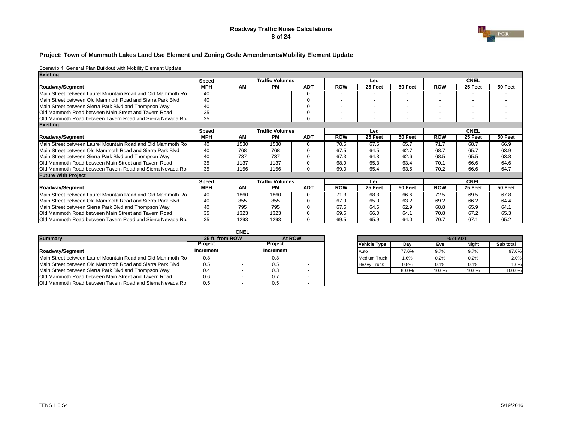#### **Roadway Traffic Noise Calculations 8 of 24**



#### **Project: Town of Mammoth Lakes Land Use Element and Zoning Code Amendments/Mobility Element Update**

| <b>Existing</b>                                                    |            |      |                        |            |            |         |                          |            |                          |         |
|--------------------------------------------------------------------|------------|------|------------------------|------------|------------|---------|--------------------------|------------|--------------------------|---------|
|                                                                    | Speed      |      | <b>Traffic Volumes</b> |            |            | Lea     |                          |            | <b>CNEL</b>              |         |
| Roadway/Segment                                                    | <b>MPH</b> | AM   | <b>PM</b>              | <b>ADT</b> | <b>ROW</b> | 25 Feet | 50 Feet                  | <b>ROW</b> | 25 Feet                  | 50 Feet |
| Main Street between Laurel Mountain Road and Old Mammoth Ro        | 40         |      |                        |            |            |         |                          |            |                          |         |
| Main Street between Old Mammoth Road and Sierra Park Blyd          | 40         |      |                        |            |            |         |                          |            |                          |         |
| Main Street between Sierra Park Blvd and Thompson Way              | 40         |      |                        |            |            |         |                          |            | $\overline{\phantom{a}}$ |         |
| <b>Old Mammoth Road between Main Street and Tavern Road</b>        | 35         |      |                        |            |            |         |                          |            | $\overline{\phantom{0}}$ |         |
| <b>Old Mammoth Road between Tavern Road and Sierra Nevada Rot</b>  | 35         |      |                        |            |            |         | $\overline{\phantom{a}}$ |            | $\overline{\phantom{a}}$ |         |
| <b>Existing</b>                                                    |            |      |                        |            |            |         |                          |            |                          |         |
|                                                                    | Speed      |      | <b>Traffic Volumes</b> |            |            | Lea     |                          |            | <b>CNEL</b>              |         |
| Roadway/Segment                                                    | <b>MPH</b> | AM   | <b>PM</b>              | <b>ADT</b> | <b>ROW</b> | 25 Feet | 50 Feet                  | <b>ROW</b> | 25 Feet                  | 50 Feet |
| Main Street between Laurel Mountain Road and Old Mammoth Ro        | 40         | 1530 | 1530                   |            | 70.5       | 67.5    | 65.7                     | 71.7       | 68.7                     | 66.9    |
| Main Street between Old Mammoth Road and Sierra Park Blyd          | 40         | 768  | 768                    |            | 67.5       | 64.5    | 62.7                     | 68.7       | 65.7                     | 63.9    |
| Main Street between Sierra Park Blvd and Thompson Way              | 40         | 737  | 737                    |            | 67.3       | 64.3    | 62.6                     | 68.5       | 65.5                     | 63.8    |
| <b>IOld Mammoth Road between Main Street and Tavern Road</b>       | 35         | 1137 | 1137                   |            | 68.9       | 65.3    | 63.4                     | 70.1       | 66.6                     | 64.6    |
| Old Mammoth Road between Tavern Road and Sierra Nevada Rol         | 35         | 1156 | 1156                   |            | 69.0       | 65.4    | 63.5                     | 70.2       | 66.6                     | 64.7    |
| <b>Future With Project</b>                                         |            |      |                        |            |            |         |                          |            |                          |         |
|                                                                    | Speed      |      | <b>Traffic Volumes</b> |            |            | Lea     |                          |            | <b>CNEL</b>              |         |
| Roadway/Segment                                                    | <b>MPH</b> | AM   | <b>PM</b>              | <b>ADT</b> | <b>ROW</b> | 25 Feet | 50 Feet                  | <b>ROW</b> | 25 Feet                  | 50 Feet |
| Main Street between Laurel Mountain Road and Old Mammoth Ro        | 40         | 1860 | 1860                   |            | 71.3       | 68.3    | 66.6                     | 72.5       | 69.5                     | 67.8    |
| Main Street between Old Mammoth Road and Sierra Park Blyd          | 40         | 855  | 855                    |            | 67.9       | 65.0    | 63.2                     | 69.2       | 66.2                     | 64.4    |
| Main Street between Sierra Park Blvd and Thompson Way              | 40         | 795  | 795                    |            | 67.6       | 64.6    | 62.9                     | 68.8       | 65.9                     | 64.1    |
| Old Mammoth Road between Main Street and Tavern Road               | 35         | 1323 | 1323                   |            | 69.6       | 66.0    | 64.1                     | 70.8       | 67.2                     | 65.3    |
| <b>IOld Mammoth Road between Tavern Road and Sierra Nevada Rol</b> | 35         | 1293 | 1293                   |            | 69.5       | 65.9    | 64.0                     | 70.7       | 67.1                     | 65.2    |

|                                                                    |                 | <b>CNEL</b> |           |  |                     |          |       |       |           |
|--------------------------------------------------------------------|-----------------|-------------|-----------|--|---------------------|----------|-------|-------|-----------|
| <b>Summary</b>                                                     | 25 ft. from ROW |             | At ROW    |  |                     | % of ADT |       |       |           |
|                                                                    | <b>Project</b>  |             | Project   |  | Vehicle Type        | Dav      | Eve   | Night | Sub total |
| Roadway/Segment                                                    | Increment       |             | Increment |  | <b>Auto</b>         | 77.6%    | 9.7%  | 9.7%  | 97.0%     |
| Main Street between Laurel Mountain Road and Old Mammoth Ro        | 0.8             |             |           |  | <b>Medium Truck</b> | .6%      | 0.2%  | 0.2%  | 2.0%      |
| Main Street between Old Mammoth Road and Sierra Park Blyd          | 0.5             |             | 0.5       |  | <b>Heavy Truck</b>  | 0.8%     | 0.1%  | 0.1%  | 1.0%      |
| Main Street between Sierra Park Blvd and Thompson Way              | 0.4             |             | 0.3       |  |                     | 80.0%    | 10.0% | 10.0% | 100.0%    |
| <b>Old Mammoth Road between Main Street and Tavern Road</b>        | 0.6             |             | 0.7       |  |                     |          |       |       |           |
| <b>Old Mammoth Road between Tavern Road and Sierra Nevada Road</b> | 0.5             |             |           |  |                     |          |       |       |           |

|         |           |                     | % of ADT |       |              |           |  |  |  |
|---------|-----------|---------------------|----------|-------|--------------|-----------|--|--|--|
| Proiect |           | <b>Vehicle Type</b> | Dav      | Eve   | <b>Night</b> | Sub total |  |  |  |
|         | Increment | Auto                | 77.6%    | 9.7%  | 9.7%         | 97.0%     |  |  |  |
|         | 0.8       | <b>Medium Truck</b> | 1.6%     | 0.2%  | 0.2%         | 2.0%      |  |  |  |
|         | 0.5       | <b>Heavy Truck</b>  | 0.8%     | 0.1%  | 0.1%         | 1.0%      |  |  |  |
|         | 0.3       |                     | 80.0%    | 10.0% | 10.0%        | 100.0%    |  |  |  |
|         |           |                     |          |       |              |           |  |  |  |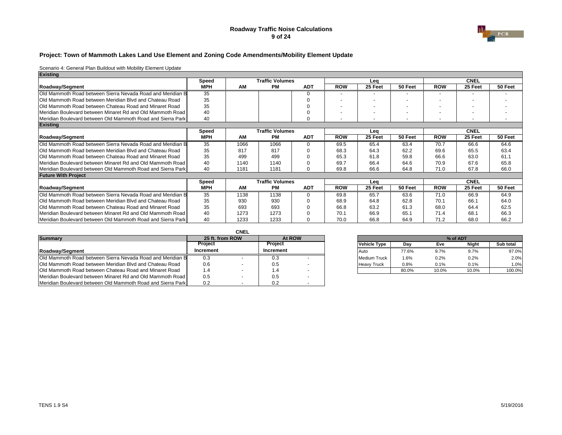#### **Roadway Traffic Noise Calculations 9 of 24**



#### **Project: Town of Mammoth Lakes Land Use Element and Zoning Code Amendments/Mobility Element Update**

| <b>Existing</b>                                                     |            |      |                        |            |                          |         |         |            |                          |         |
|---------------------------------------------------------------------|------------|------|------------------------|------------|--------------------------|---------|---------|------------|--------------------------|---------|
|                                                                     | Speed      |      | <b>Traffic Volumes</b> |            |                          | Lea     |         |            | <b>CNEL</b>              |         |
| Roadway/Segment                                                     | <b>MPH</b> | AM   | PМ                     | <b>ADT</b> | <b>ROW</b>               | 25 Feet | 50 Feet | <b>ROW</b> | 25 Feet                  | 50 Feet |
| Old Mammoth Road between Sierra Nevada Road and Meridian B          | 35         |      |                        |            |                          |         |         |            | -                        |         |
| <b>Old Mammoth Road between Meridian Blvd and Chateau Road</b>      | 35         |      |                        |            |                          |         |         |            |                          |         |
| <b>IOld Mammoth Road between Chateau Road and Minaret Road</b>      | 35         |      |                        |            | $\overline{\phantom{0}}$ |         |         |            | $\overline{\phantom{0}}$ |         |
| Meridian Boulevard between Minaret Rd and Old Mammoth Road          | 40         |      |                        |            |                          |         |         |            | $\sim$                   |         |
| Meridian Boulevard between Old Mammoth Road and Sierra Park         | 40         |      |                        |            | $\overline{\phantom{0}}$ |         |         |            | $\overline{\phantom{a}}$ |         |
| <b>Existing</b>                                                     |            |      |                        |            |                          |         |         |            |                          |         |
|                                                                     | Speed      |      | <b>Traffic Volumes</b> |            |                          | Lea     |         |            | <b>CNEL</b>              |         |
| Roadway/Segment                                                     | <b>MPH</b> | AM   | <b>PM</b>              | <b>ADT</b> | <b>ROW</b>               | 25 Feet | 50 Feet | <b>ROW</b> | 25 Feet                  | 50 Feet |
| Old Mammoth Road between Sierra Nevada Road and Meridian B          | 35         | 1066 | 1066                   |            | 69.5                     | 65.4    | 63.4    | 70.7       | 66.6                     | 64.6    |
| <b>Old Mammoth Road between Meridian Blvd and Chateau Road</b>      | 35         | 817  | 817                    |            | 68.3                     | 64.3    | 62.2    | 69.6       | 65.5                     | 63.4    |
| <b>Old Mammoth Road between Chateau Road and Minaret Road</b>       | 35         | 499  | 499                    |            | 65.3                     | 61.8    | 59.8    | 66.6       | 63.0                     | 61.1    |
| Meridian Boulevard between Minaret Rd and Old Mammoth Road          | 40         | 1140 | 1140                   |            | 69.7                     | 66.4    | 64.6    | 70.9       | 67.6                     | 65.8    |
| Meridian Boulevard between Old Mammoth Road and Sierra Park         | 40         | 1181 | 1181                   |            | 69.8                     | 66.6    | 64.8    | 71.0       | 67.8                     | 66.0    |
| <b>Future With Project</b>                                          |            |      |                        |            |                          |         |         |            |                          |         |
|                                                                     | Speed      |      | <b>Traffic Volumes</b> |            |                          | Lea     |         |            | <b>CNEL</b>              |         |
| Roadway/Segment                                                     | <b>MPH</b> | AM   | <b>PM</b>              | <b>ADT</b> | <b>ROW</b>               | 25 Feet | 50 Feet | <b>ROW</b> | 25 Feet                  | 50 Feet |
| <b>IOld Mammoth Road between Sierra Nevada Road and Meridian B</b>  | 35         | 1138 | 1138                   |            | 69.8                     | 65.7    | 63.6    | 71.0       | 66.9                     | 64.9    |
| <b>Old Mammoth Road between Meridian Blvd and Chateau Road</b>      | 35         | 930  | 930                    |            | 68.9                     | 64.8    | 62.8    | 70.1       | 66.1                     | 64.0    |
| <b>IOld Mammoth Road between Chateau Road and Minaret Road</b>      | 35         | 693  | 693                    |            | 66.8                     | 63.2    | 61.3    | 68.0       | 64.4                     | 62.5    |
| Meridian Boulevard between Minaret Rd and Old Mammoth Road          | 40         | 1273 | 1273                   |            | 70.1                     | 66.9    | 65.1    | 71.4       | 68.1                     | 66.3    |
| <b>IMeridian Boulevard between Old Mammoth Road and Sierra Park</b> | 40         | 1233 | 1233                   |            | 70.0                     | 66.8    | 64.9    | 71.2       | 68.0                     | 66.2    |

|                                                                    |                 | <b>CNEL</b> |           |        |  |                     |       |       |          |           |
|--------------------------------------------------------------------|-----------------|-------------|-----------|--------|--|---------------------|-------|-------|----------|-----------|
| Summary                                                            | 25 ft. from ROW |             |           | At ROW |  |                     |       |       | % of ADT |           |
|                                                                    | Project         |             | Project   |        |  | <b>Vehicle Type</b> | Dav   | Eve   | Niaht    | Sub total |
| <b>Roadwav/Segment</b>                                             | Increment       |             | Increment |        |  | <b>Auto</b>         | 77.6% | 9.7%  | 9.7%     | 97.0%     |
| <b>IOld Mammoth Road between Sierra Nevada Road and Meridian B</b> | 0.3             |             | U.3       |        |  | <b>Medium Truck</b> | 1.6%  | 0.2%  | 0.2%     | 2.0%      |
| <b>Old Mammoth Road between Meridian Blvd and Chateau Road</b>     | 0.6             |             | 0.5       |        |  | <b>Heavy Truck</b>  | 0.8%  | 0.1%  | 0.1%     | 1.0%      |
| <b>Old Mammoth Road between Chateau Road and Minaret Road</b>      | 1.4             |             |           |        |  |                     | 80.0% | 10.0% | 10.0%    | 100.0%    |
| Meridian Boulevard between Minaret Rd and Old Mammoth Road         | 0.5             |             | 0.5       |        |  |                     |       |       |          |           |
| Meridian Boulevard between Old Mammoth Road and Sierra Park        | 0.2             |             | 0.2       |        |  |                     |       |       |          |           |

| 25 ft. from ROW | At ROW    |                     |       |       | % of ADT     |           |
|-----------------|-----------|---------------------|-------|-------|--------------|-----------|
| Proiect         | Proiect   | <b>Vehicle Type</b> | Dav   | Eve   | <b>Night</b> | Sub total |
| crement         | Increment | Auto                | 77.6% | 9.7%  | 9.7%         | 97.0%     |
| 0.3             | 0.3       | <b>Medium Truck</b> | 1.6%  | 0.2%  | 0.2%         | 2.0%      |
| 0.6             | 0.5       | <b>Heavy Truck</b>  | 0.8%  | 0.1%  | 0.1%         | 1.0%      |
| 1.4             | 1.4       |                     | 80.0% | 10.0% | 10.0%        | 100.0%    |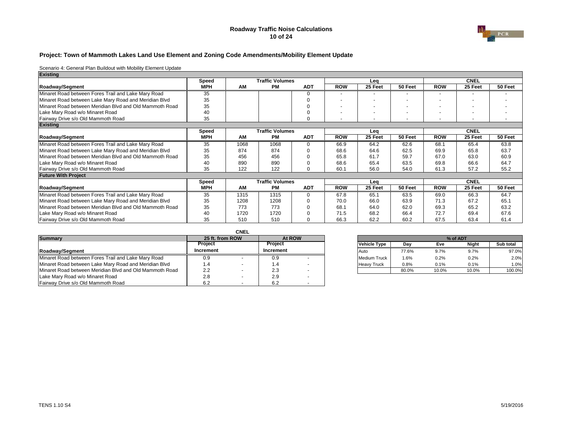#### **Roadway Traffic Noise Calculations 10 of 24**



#### **Project: Town of Mammoth Lakes Land Use Element and Zoning Code Amendments/Mobility Element Update**

| <b>Existing</b>                                         |            |      |                        |            |            |         |         |            |             |         |
|---------------------------------------------------------|------------|------|------------------------|------------|------------|---------|---------|------------|-------------|---------|
|                                                         | Speed      |      | <b>Traffic Volumes</b> |            |            | Lea     |         |            | <b>CNEL</b> |         |
| Roadway/Segment                                         | <b>MPH</b> | AM   | PМ                     | <b>ADT</b> | <b>ROW</b> | 25 Feet | 50 Feet | <b>ROW</b> | 25 Feet     | 50 Feet |
| Minaret Road between Fores Trail and Lake Mary Road     | 35         |      |                        | U          |            |         |         |            |             |         |
| Minaret Road between Lake Mary Road and Meridian Blvd   | 35         |      |                        |            |            |         |         |            |             |         |
| Minaret Road between Meridian Blvd and Old Mammoth Road | 35         |      |                        |            |            |         |         |            |             |         |
| Lake Mary Road w/o Minaret Road                         | 40         |      |                        |            |            |         |         |            |             |         |
| Fairway Drive s/o Old Mammoth Road                      | 35         |      |                        | $\Omega$   |            |         |         |            |             |         |
| <b>Existing</b>                                         |            |      |                        |            |            |         |         |            |             |         |
|                                                         | Speed      |      | <b>Traffic Volumes</b> |            |            | Lea     |         |            | <b>CNEL</b> |         |
| Roadway/Segment                                         | <b>MPH</b> | AM   | <b>PM</b>              | <b>ADT</b> | <b>ROW</b> | 25 Feet | 50 Feet | <b>ROW</b> | 25 Feet     | 50 Feet |
| Minaret Road between Fores Trail and Lake Mary Road     | 35         | 1068 | 1068                   | $\Omega$   | 66.9       | 64.2    | 62.6    | 68.1       | 65.4        | 63.8    |
| Minaret Road between Lake Mary Road and Meridian Blvd   | 35         | 874  | 874                    |            | 68.6       | 64.6    | 62.5    | 69.9       | 65.8        | 63.7    |
| Minaret Road between Meridian Blvd and Old Mammoth Road | 35         | 456  | 456                    |            | 65.8       | 61.7    | 59.7    | 67.0       | 63.0        | 60.9    |
| Lake Mary Road w/o Minaret Road                         | 40         | 890  | 890                    |            | 68.6       | 65.4    | 63.5    | 69.8       | 66.6        | 64.7    |
| Fairway Drive s/o Old Mammoth Road                      | 35         | 122  | 122                    | 0          | 60.1       | 56.0    | 54.0    | 61.3       | 57.2        | 55.2    |
| <b>Future With Project</b>                              |            |      |                        |            |            |         |         |            |             |         |
|                                                         | Speed      |      | <b>Traffic Volumes</b> |            |            | Lea     |         |            | <b>CNEL</b> |         |
| Roadway/Segment                                         | <b>MPH</b> | AM   | <b>PM</b>              | <b>ADT</b> | <b>ROW</b> | 25 Feet | 50 Feet | <b>ROW</b> | 25 Feet     | 50 Feet |
| Minaret Road between Fores Trail and Lake Mary Road     | 35         | 1315 | 1315                   | $\Omega$   | 67.8       | 65.1    | 63.5    | 69.0       | 66.3        | 64.7    |
| Minaret Road between Lake Mary Road and Meridian Blvd   | 35         | 1208 | 1208                   |            | 70.0       | 66.0    | 63.9    | 71.3       | 67.2        | 65.1    |
| Minaret Road between Meridian Blvd and Old Mammoth Road | 35         | 773  | 773                    | U          | 68.1       | 64.0    | 62.0    | 69.3       | 65.2        | 63.2    |
| Lake Mary Road w/o Minaret Road                         | 40         | 1720 | 1720                   |            | 71.5       | 68.2    | 66.4    | 72.7       | 69.4        | 67.6    |
| Fairway Drive s/o Old Mammoth Road                      | 35         | 510  | 510                    |            | 66.3       | 62.2    | 60.2    | 67.5       | 63.4        | 61.4    |

|                                                         |                 | <b>CNEL</b> |           |                          |  |                     |       |       |       |           |
|---------------------------------------------------------|-----------------|-------------|-----------|--------------------------|--|---------------------|-------|-------|-------|-----------|
| <b>Summary</b>                                          | 25 ft. from ROW |             |           | At ROW                   |  |                     |       |       |       |           |
|                                                         | Project         |             | Project   |                          |  | Vehicle Type        | Dav   | Eve   | Niaht | Sub total |
| Roadway/Segment                                         | Increment       |             | Increment |                          |  | <b>Auto</b>         | 77.6% | 9.7%  | 9.7%  | 97.0%     |
| Minaret Road between Fores Trail and Lake Mary Road     | 0.9             |             | 0.9       |                          |  | <b>Medium Truck</b> | 1.6%  | 0.2%  | 0.2%  | 2.0%      |
| Minaret Road between Lake Mary Road and Meridian Blvd   | 4. ا            |             | 1.4       |                          |  | <b>Heavy Truck</b>  | 0.8%  | 0.1%  | 0.1%  | 1.0%      |
| Minaret Road between Meridian Blvd and Old Mammoth Road | 2.2             |             | 2.3       |                          |  |                     | 80.0% | 10.0% | 10.0% | 100.0%    |
| Lake Mary Road w/o Minaret Road                         | 2.8             |             | 2.9       |                          |  |                     |       |       |       |           |
| Fairway Drive s/o Old Mammoth Road                      | 6.2             | . .         | 6.2       | $\overline{\phantom{a}}$ |  |                     |       |       |       |           |

| 25 ft. from ROW | At ROW    |                     |       | % of ADT |              |           |
|-----------------|-----------|---------------------|-------|----------|--------------|-----------|
| Proiect         | Proiect   | <b>Vehicle Type</b> | Dav   | Eve      | <b>Night</b> | Sub total |
| crement         | Increment | Auto                | 77.6% | 9.7%     | 9.7%         | 97.0%     |
| 0.9             | 0.9       | <b>Medium Truck</b> | 1.6%  | 0.2%     | 0.2%         | 2.0%      |
| 1.4             | l .4      | <b>Heavy Truck</b>  | 0.8%  | 0.1%     | 0.1%         | 1.0%      |
| 2.2             | 2.3       |                     | 80.0% | 10.0%    | 10.0%        | 100.0%    |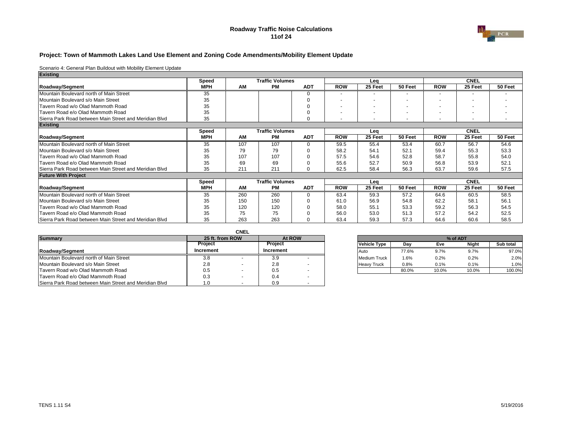#### **Roadway Traffic Noise Calculations 11of 24**



#### **Project: Town of Mammoth Lakes Land Use Element and Zoning Code Amendments/Mobility Element Update**

| <b>Existing</b>                                        |            |     |                        |            |                          |         |         |            |                          |         |
|--------------------------------------------------------|------------|-----|------------------------|------------|--------------------------|---------|---------|------------|--------------------------|---------|
|                                                        | Speed      |     | <b>Traffic Volumes</b> |            |                          | Leg     |         |            | <b>CNEL</b>              |         |
| Roadway/Segment                                        | <b>MPH</b> | AM  | <b>PM</b>              | <b>ADT</b> | <b>ROW</b>               | 25 Feet | 50 Feet | <b>ROW</b> | 25 Feet                  | 50 Feet |
| Mountain Boulevard north of Main Street                | 35         |     |                        |            | -                        |         |         |            | $\overline{\phantom{0}}$ |         |
| Mountain Boulevard s/o Main Street                     | 35         |     |                        |            |                          |         |         |            | $\overline{\phantom{0}}$ |         |
| Tavern Road w/o Olad Mammoth Road                      | 35         |     |                        |            |                          |         |         |            |                          |         |
| Tavern Road e/o Olad Mammoth Road                      | 35         |     |                        |            | $\overline{\phantom{a}}$ |         |         |            |                          |         |
| Sierra Park Road between Main Street and Meridian Blvd | 35         |     |                        | $\Omega$   |                          |         |         |            |                          |         |
| <b>Existing</b>                                        |            |     |                        |            |                          |         |         |            |                          |         |
|                                                        | Speed      |     | <b>Traffic Volumes</b> |            |                          | Lea     |         |            | <b>CNEL</b>              |         |
| Roadway/Segment                                        | <b>MPH</b> | AM  | PМ                     | <b>ADT</b> | <b>ROW</b>               | 25 Feet | 50 Feet | <b>ROW</b> | 25 Feet                  | 50 Feet |
| Mountain Boulevard north of Main Street                | 35         | 107 | 107                    | 0          | 59.5                     | 55.4    | 53.4    | 60.7       | 56.7                     | 54.6    |
| Mountain Boulevard s/o Main Street                     | 35         | 79  | 79                     |            | 58.2                     | 54.1    | 52.1    | 59.4       | 55.3                     | 53.3    |
| Tavern Road w/o Olad Mammoth Road                      | 35         | 107 | 107                    |            | 57.5                     | 54.6    | 52.8    | 58.7       | 55.8                     | 54.0    |
| Tavern Road e/o Olad Mammoth Road                      | 35         | 69  | 69                     |            | 55.6                     | 52.7    | 50.9    | 56.8       | 53.9                     | 52.1    |
| Sierra Park Road between Main Street and Meridian Blvd | 35         | 211 | 211                    | U          | 62.5                     | 58.4    | 56.3    | 63.7       | 59.6                     | 57.5    |
| <b>Future With Project</b>                             |            |     |                        |            |                          |         |         |            |                          |         |
|                                                        | Speed      |     | <b>Traffic Volumes</b> |            |                          | Lea     |         |            | <b>CNEL</b>              |         |
| Roadway/Segment                                        | <b>MPH</b> | AM  | <b>PM</b>              | <b>ADT</b> | <b>ROW</b>               | 25 Feet | 50 Feet | <b>ROW</b> | 25 Feet                  | 50 Feet |
| Mountain Boulevard north of Main Street                | 35         | 260 | 260                    | $\Omega$   | 63.4                     | 59.3    | 57.2    | 64.6       | 60.5                     | 58.5    |
| Mountain Boulevard s/o Main Street                     | 35         | 150 | 150                    |            | 61.0                     | 56.9    | 54.8    | 62.2       | 58.1                     | 56.1    |
| Tavern Road w/o Olad Mammoth Road                      | 35         | 120 | 120                    |            | 58.0                     | 55.1    | 53.3    | 59.2       | 56.3                     | 54.5    |
| Tavern Road e/o Olad Mammoth Road                      | 35         | 75  | 75                     |            | 56.0                     | 53.0    | 51.3    | 57.2       | 54.2                     | 52.5    |
| Sierra Park Road between Main Street and Meridian Blvd | 35         | 263 | 263                    |            | 63.4                     | 59.3    | 57.3    | 64.6       | 60.6                     | 58.5    |

|                                                        |                | CNEL            |                |        |  |                     |       |       |       |           |
|--------------------------------------------------------|----------------|-----------------|----------------|--------|--|---------------------|-------|-------|-------|-----------|
| <b>Summary</b>                                         |                | 25 ft. from ROW |                | At ROW |  |                     |       |       |       |           |
|                                                        | <b>Project</b> |                 | <b>Project</b> |        |  | <b>Vehicle Type</b> | Dav   | Eve   | Night | Sub total |
| Roadwav/Segment                                        | Increment      |                 | Increment      |        |  | Auto                | 77.6% | 9.7%  | 9.7%  | 97.0%     |
| Mountain Boulevard north of Main Street                | 3.8            |                 | 3.9            |        |  | <b>Medium Truck</b> | 1.6%  | 0.2%  | 0.2%  | 2.0%      |
| Mountain Boulevard s/o Main Street                     | 2.8            |                 | 2.8            |        |  | <b>Heavy Truck</b>  | 0.8%  | 0.1%  | 0.1%  | 1.0%      |
| Tavern Road w/o Olad Mammoth Road                      | 0.5            |                 | 0.5            |        |  |                     | 80.0% | 10.0% | 10.0% | 100.0%    |
| Tavern Road e/o Olad Mammoth Road                      | 0.3            |                 | 0.4            |        |  |                     |       |       |       |           |
| Sierra Park Road between Main Street and Meridian Blvd | 1.0            |                 | 0.9            |        |  |                     |       |       |       |           |

| 25 ft. from ROW | At ROW    |                     | % of ADT |       |              |           |  |  |  |
|-----------------|-----------|---------------------|----------|-------|--------------|-----------|--|--|--|
|                 | Proiect   | <b>Vehicle Type</b> | Dav      | Eve   | <b>Night</b> | Sub total |  |  |  |
|                 | Increment | Auto                | 77.6%    | 9.7%  | 9.7%         | 97.0%     |  |  |  |
|                 | 3.9       | <b>Medium Truck</b> | 1.6%     | 0.2%  | 0.2%         | 2.0%      |  |  |  |
|                 | 2.8       | <b>Heavy Truck</b>  | 0.8%     | 0.1%  | 0.1%         | 1.0%      |  |  |  |
|                 | 0.5       |                     | 80.0%    | 10.0% | 10.0%        | 100.0%    |  |  |  |
|                 |           |                     |          |       |              |           |  |  |  |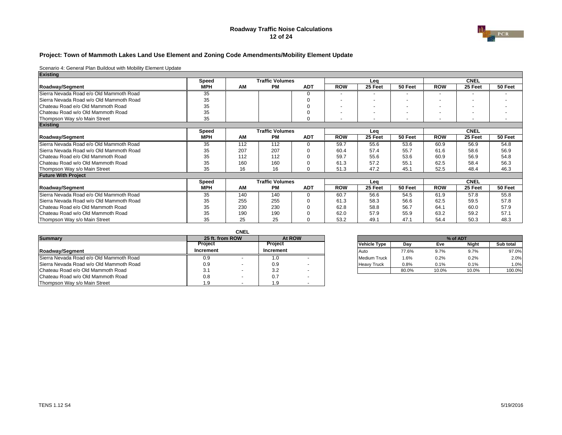#### **Roadway Traffic Noise Calculations 12 of 24**



#### **Project: Town of Mammoth Lakes Land Use Element and Zoning Code Amendments/Mobility Element Update**

| <b>Existing</b>                         |            |     |                        |            |                          |         |                          |            |                          |         |
|-----------------------------------------|------------|-----|------------------------|------------|--------------------------|---------|--------------------------|------------|--------------------------|---------|
|                                         | Speed      |     | <b>Traffic Volumes</b> |            |                          | Lea     |                          |            | <b>CNEL</b>              |         |
| Roadway/Segment                         | <b>MPH</b> | AM  | <b>PM</b>              | <b>ADT</b> | <b>ROW</b>               | 25 Feet | 50 Feet                  | <b>ROW</b> | 25 Feet                  | 50 Feet |
| Sierra Nevada Road e/o Old Mammoth Road | 35         |     |                        | U          |                          |         |                          |            |                          |         |
| Sierra Nevada Road w/o Old Mammoth Road | 35         |     |                        |            |                          |         | $\overline{\phantom{a}}$ |            | $\overline{\phantom{0}}$ |         |
| Chateau Road e/o Old Mammoth Road       | 35         |     |                        |            | $\overline{\phantom{a}}$ | -       |                          |            | $\overline{\phantom{0}}$ |         |
| Chateau Road w/o Old Mammoth Road       | 35         |     |                        |            | $\overline{\phantom{a}}$ |         |                          |            | $\overline{\phantom{0}}$ |         |
| Thompson Way s/o Main Street            | 35         |     |                        | $\Omega$   |                          |         |                          |            | $\overline{\phantom{a}}$ |         |
| <b>Existing</b>                         |            |     |                        |            |                          |         |                          |            |                          |         |
|                                         | Speed      |     | <b>Traffic Volumes</b> |            |                          | Leg     |                          |            | <b>CNEL</b>              |         |
| Roadway/Segment                         | <b>MPH</b> | AM  | <b>PM</b>              | <b>ADT</b> | <b>ROW</b>               | 25 Feet | 50 Feet                  | <b>ROW</b> | 25 Feet                  | 50 Feet |
| Sierra Nevada Road e/o Old Mammoth Road | 35         | 112 | 112                    | $\Omega$   | 59.7                     | 55.6    | 53.6                     | 60.9       | 56.9                     | 54.8    |
| Sierra Nevada Road w/o Old Mammoth Road | 35         | 207 | 207                    |            | 60.4                     | 57.4    | 55.7                     | 61.6       | 58.6                     | 56.9    |
| Chateau Road e/o Old Mammoth Road       | 35         | 112 | 112                    |            | 59.7                     | 55.6    | 53.6                     | 60.9       | 56.9                     | 54.8    |
| Chateau Road w/o Old Mammoth Road       | 35         | 160 | 160                    |            | 61.3                     | 57.2    | 55.1                     | 62.5       | 58.4                     | 56.3    |
| Thompson Way s/o Main Street            | 35         | 16  | 16                     | $\Omega$   | 51.3                     | 47.2    | 45.1                     | 52.5       | 48.4                     | 46.3    |
| <b>Future With Project</b>              |            |     |                        |            |                          |         |                          |            |                          |         |
|                                         | Speed      |     | <b>Traffic Volumes</b> |            |                          | Lea     |                          |            | <b>CNEL</b>              |         |
| Roadway/Segment                         | <b>MPH</b> | AM  | <b>PM</b>              | <b>ADT</b> | <b>ROW</b>               | 25 Feet | 50 Feet                  | <b>ROW</b> | 25 Feet                  | 50 Feet |
| Sierra Nevada Road e/o Old Mammoth Road | 35         | 140 | 140                    | $\Omega$   | 60.7                     | 56.6    | 54.5                     | 61.9       | 57.8                     | 55.8    |
| Sierra Nevada Road w/o Old Mammoth Road | 35         | 255 | 255                    |            | 61.3                     | 58.3    | 56.6                     | 62.5       | 59.5                     | 57.8    |
| Chateau Road e/o Old Mammoth Road       | 35         | 230 | 230                    |            | 62.8                     | 58.8    | 56.7                     | 64.1       | 60.0                     | 57.9    |
| Chateau Road w/o Old Mammoth Road       | 35         | 190 | 190                    |            | 62.0                     | 57.9    | 55.9                     | 63.2       | 59.2                     | 57.1    |
| Thompson Way s/o Main Street            | 35         | 25  | 25                     |            | 53.2                     | 49.1    | 47.1                     | 54.4       | 50.3                     | 48.3    |

|                                         |                | <b>CNEL</b>     |           |                          |  |                     |       |       |       |           |  |  |
|-----------------------------------------|----------------|-----------------|-----------|--------------------------|--|---------------------|-------|-------|-------|-----------|--|--|
| <b>Summary</b>                          |                | 25 ft. from ROW |           | At ROW                   |  | % of ADT            |       |       |       |           |  |  |
|                                         | <b>Project</b> |                 | Project   |                          |  | Vehicle Type        | Dav   | Eve   | Night | Sub total |  |  |
| Roadway/Segment                         | Increment      |                 | Increment |                          |  | <b>Auto</b>         | 77.6% | 9.7%  | 9.7%  | 97.0%     |  |  |
| Sierra Nevada Road e/o Old Mammoth Road | 0.9            |                 | I.U       |                          |  | <b>Medium Truck</b> | .6%   | 0.2%  | 0.2%  | 2.0%      |  |  |
| Sierra Nevada Road w/o Old Mammoth Road | 0.9            |                 | 0.9       |                          |  | <b>Heavy Truck</b>  | 0.8%  | 0.1%  | 0.1%  | 1.0%      |  |  |
| Chateau Road e/o Old Mammoth Road       | 3.1            |                 | 3.2       |                          |  |                     | 80.0% | 10.0% | 10.0% | 100.0%    |  |  |
| Chateau Road w/o Old Mammoth Road       | 0.8            |                 | 0.7       |                          |  |                     |       |       |       |           |  |  |
| Thompson Way s/o Main Street            | 1.9            |                 |           | $\overline{\phantom{a}}$ |  |                     |       |       |       |           |  |  |

| 25 ft. from ROW      | At ROW    |                     |       |       | % of ADT     |           |
|----------------------|-----------|---------------------|-------|-------|--------------|-----------|
| Project              | Project   | <b>Vehicle Type</b> | Dav   | Eve   | <b>Night</b> | Sub total |
| crement              | Increment | Auto                | 77.6% | 9.7%  | 9.7%         | 97.0%     |
| 0.9                  | LO.       | <b>Medium Truck</b> | 1.6%  | 0.2%  | 0.2%         | 2.0%      |
| 0.9                  | 0.9       | <b>Heavy Truck</b>  | 0.8%  | 0.1%  | 0.1%         | 1.0%      |
| 2 <sub>1</sub><br>ື່ | 3.2       |                     | 80.0% | 10.0% | 10.0%        | 100.0%    |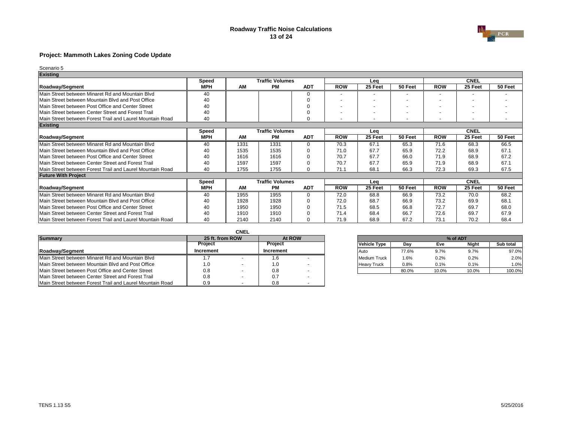### **Roadway Traffic Noise Calculations 13 of 24**



## **Project: Mammoth Lakes Zoning Code Update**

| <b>Existing</b>                                            |              |           |                        |            |            |         |         |                          |                          |         |
|------------------------------------------------------------|--------------|-----------|------------------------|------------|------------|---------|---------|--------------------------|--------------------------|---------|
|                                                            | <b>Speed</b> |           | <b>Traffic Volumes</b> |            |            | Lea     |         |                          | <b>CNEL</b>              |         |
| <b>Roadway/Segment</b>                                     | <b>MPH</b>   | <b>AM</b> | <b>PM</b>              | <b>ADT</b> | <b>ROW</b> | 25 Feet | 50 Feet | <b>ROW</b>               | 25 Feet                  | 50 Feet |
| Main Street between Minaret Rd and Mountain Blvd           | 40           |           |                        | 0          |            |         |         |                          |                          |         |
| Main Street between Mountain Blvd and Post Office          | 40           |           |                        | $\Omega$   |            |         |         |                          |                          |         |
| Main Street between Post Office and Center Street          | 40           |           |                        |            |            |         |         |                          | $\overline{\phantom{0}}$ |         |
| Main Street between Center Street and Forest Trail         | 40           |           |                        |            |            |         |         | $\overline{\phantom{0}}$ | ٠                        |         |
| Main Street between Forest Trail and Laurel Mountain Road  | 40           |           |                        | ∩          |            |         |         |                          |                          |         |
| <b>Existing</b>                                            |              |           |                        |            |            |         |         |                          |                          |         |
|                                                            | <b>Speed</b> |           | <b>Traffic Volumes</b> |            |            | Leq     |         |                          | <b>CNEL</b>              |         |
| <b>Roadway/Segment</b>                                     | <b>MPH</b>   | AM        | <b>PM</b>              | <b>ADT</b> | <b>ROW</b> | 25 Feet | 50 Feet | <b>ROW</b>               | 25 Feet                  | 50 Feet |
| Main Street between Minaret Rd and Mountain Blvd           | 40           | 1331      | 1331                   | $\Omega$   | 70.3       | 67.1    | 65.3    | 71.6                     | 68.3                     | 66.5    |
| Main Street between Mountain Blvd and Post Office          | 40           | 1535      | 1535                   | $\Omega$   | 71.0       | 67.7    | 65.9    | 72.2                     | 68.9                     | 67.1    |
| Main Street between Post Office and Center Street          | 40           | 1616      | 1616                   | $\Omega$   | 70.7       | 67.7    | 66.0    | 71.9                     | 68.9                     | 67.2    |
| Main Street between Center Street and Forest Trail         | 40           | 1597      | 1597                   | $\Omega$   | 70.7       | 67.7    | 65.9    | 71.9                     | 68.9                     | 67.1    |
| Main Street between Forest Trail and Laurel Mountain Road  | 40           | 1755      | 1755                   | $\Omega$   | 71.1       | 68.1    | 66.3    | 72.3                     | 69.3                     | 67.5    |
| <b>Future With Project</b>                                 |              |           |                        |            |            |         |         |                          |                          |         |
|                                                            | <b>Speed</b> |           | <b>Traffic Volumes</b> |            |            | Lea     |         |                          | <b>CNEL</b>              |         |
| <b>Roadway/Segment</b>                                     | <b>MPH</b>   | <b>AM</b> | РM                     | <b>ADT</b> | <b>ROW</b> | 25 Feet | 50 Feet | <b>ROW</b>               | 25 Feet                  | 50 Feet |
| Main Street between Minaret Rd and Mountain Blvd           | 40           | 1955      | 1955                   | $\Omega$   | 72.0       | 68.8    | 66.9    | 73.2                     | 70.0                     | 68.2    |
| Main Street between Mountain Blvd and Post Office          | 40           | 1928      | 1928                   | $\Omega$   | 72.0       | 68.7    | 66.9    | 73.2                     | 69.9                     | 68.1    |
| Main Street between Post Office and Center Street          | 40           | 1950      | 1950                   | $\Omega$   | 71.5       | 68.5    | 66.8    | 72.7                     | 69.7                     | 68.0    |
| <b>IMain Street between Center Street and Forest Trail</b> | 40           | 1910      | 1910                   | $\Omega$   | 71.4       | 68.4    | 66.7    | 72.6                     | 69.7                     | 67.9    |
| Main Street between Forest Trail and Laurel Mountain Road  | 40           | 2140      | 2140                   | U          | 71.9       | 68.9    | 67.2    | 73.1                     | 70.2                     | 68.4    |

|                                                           |                | <b>CNEL</b>     |                |        |  |                     |       |       |              |                  |
|-----------------------------------------------------------|----------------|-----------------|----------------|--------|--|---------------------|-------|-------|--------------|------------------|
| <b>Summary</b>                                            |                | 25 ft. from ROW |                | At ROW |  |                     |       |       |              |                  |
|                                                           | <b>Project</b> |                 | <b>Project</b> |        |  | <b>Vehicle Type</b> | Day   | Eve   | <b>Night</b> | <b>Sub total</b> |
| Roadway/Segment                                           | Increment      |                 | Increment      |        |  | l Auto              | 77.6% | 9.7%  | 9.7%         | 97.0%            |
| Main Street between Minaret Rd and Mountain Blvd          |                |                 |                |        |  | Medium Truck        | 1.6%  | 0.2%  | 0.2%         | 2.0%             |
| Main Street between Mountain Blvd and Post Office         | 1.0            |                 | 1.0            |        |  | <b>Heavy Truck</b>  | 0.8%  | 0.1%  | 0.1%         | 1.0%             |
| Main Street between Post Office and Center Street         | 0.8            |                 | 0.8            |        |  |                     | 80.0% | 10.0% | 10.0%        | 100.0%           |
| Main Street between Center Street and Forest Trail        | 0.8            |                 | 0.7            |        |  |                     |       |       |              |                  |
| Main Street between Forest Trail and Laurel Mountain Road | 0.9            |                 | 0.8            |        |  |                     |       |       |              |                  |

| 25 ft. from ROW |                | At ROW |                     | % of ADT |       |              |           |  |  |  |
|-----------------|----------------|--------|---------------------|----------|-------|--------------|-----------|--|--|--|
| Project         | <b>Project</b> |        | <b>Vehicle Type</b> | Dav      | Eve   | <b>Night</b> | Sub total |  |  |  |
| ıcrement        | Increment      |        | <b>Auto</b>         | 77.6%    | 9.7%  | 9.7%         | 97.0%     |  |  |  |
|                 |                |        | Medium Truck        | $1.6\%$  | 0.2%  | 0.2%         | $2.0\%$   |  |  |  |
| 1.0             |                |        | <b>Heavy Truck</b>  | 0.8%     | 0.1%  | 0.1%         | 1.0%      |  |  |  |
| 0.8             | 0.8            |        |                     | 80.0%    | 10.0% | 10.0%        | 100.0%    |  |  |  |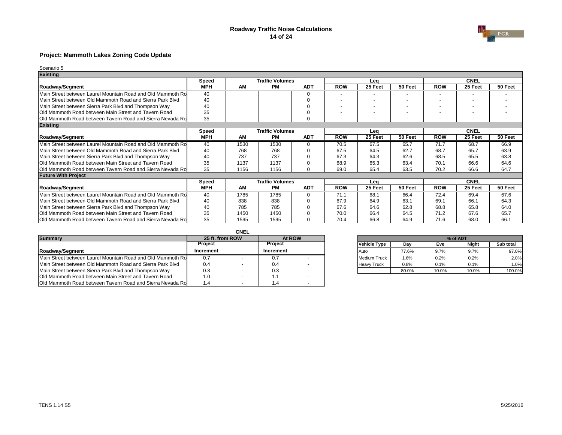### **Roadway Traffic Noise Calculations 14 of 24**



## **Project: Mammoth Lakes Zoning Code Update**

| <b>Existing</b>                                             |              |           |                        |            |            |         |         |            |             |         |
|-------------------------------------------------------------|--------------|-----------|------------------------|------------|------------|---------|---------|------------|-------------|---------|
|                                                             | <b>Speed</b> |           | <b>Traffic Volumes</b> |            |            | Lea     |         |            | <b>CNEL</b> |         |
| <b>Roadway/Segment</b>                                      | <b>MPH</b>   | AM        | <b>PM</b>              | <b>ADT</b> | <b>ROW</b> | 25 Feet | 50 Feet | <b>ROW</b> | 25 Feet     | 50 Feet |
| Main Street between Laurel Mountain Road and Old Mammoth Ro | 40           |           |                        |            |            |         |         |            |             |         |
| Main Street between Old Mammoth Road and Sierra Park Blvd   | 40           |           |                        |            |            |         |         |            | ٠           |         |
| Main Street between Sierra Park Blvd and Thompson Way       | 40           |           |                        |            |            |         |         |            |             |         |
| Old Mammoth Road between Main Street and Tavern Road        | 35           |           |                        |            |            |         |         |            |             |         |
| Old Mammoth Road between Tavern Road and Sierra Nevada Ro   | 35           |           |                        |            |            |         |         |            |             |         |
| <b>Existing</b>                                             |              |           |                        |            |            |         |         |            |             |         |
|                                                             | <b>Speed</b> |           | <b>Traffic Volumes</b> |            |            | Lea     |         |            | <b>CNEL</b> |         |
| <b>Roadway/Segment</b>                                      | <b>MPH</b>   | <b>AM</b> | <b>PM</b>              | <b>ADT</b> | <b>ROW</b> | 25 Feet | 50 Feet | <b>ROW</b> | 25 Feet     | 50 Feet |
| Main Street between Laurel Mountain Road and Old Mammoth Ro | 40           | 1530      | 1530                   | $\Omega$   | 70.5       | 67.5    | 65.7    | 71.7       | 68.7        | 66.9    |
| Main Street between Old Mammoth Road and Sierra Park Blvd   | 40           | 768       | 768                    | ∩          | 67.5       | 64.5    | 62.7    | 68.7       | 65.7        | 63.9    |
| Main Street between Sierra Park Blvd and Thompson Way       | 40           | 737       | 737                    |            | 67.3       | 64.3    | 62.6    | 68.5       | 65.5        | 63.8    |
| Old Mammoth Road between Main Street and Tavern Road        | 35           | 1137      | 1137                   |            | 68.9       | 65.3    | 63.4    | 70.1       | 66.6        | 64.6    |
| Old Mammoth Road between Tavern Road and Sierra Nevada Ro   | 35           | 1156      | 1156                   | n          | 69.0       | 65.4    | 63.5    | 70.2       | 66.6        | 64.7    |
| <b>Future With Project</b>                                  |              |           |                        |            |            |         |         |            |             |         |
|                                                             | <b>Speed</b> |           | <b>Traffic Volumes</b> |            |            | Lea     |         |            | <b>CNEL</b> |         |
| <b>Roadway/Segment</b>                                      | <b>MPH</b>   | AM        | <b>PM</b>              | <b>ADT</b> | <b>ROW</b> | 25 Feet | 50 Feet | <b>ROW</b> | 25 Feet     | 50 Feet |
| Main Street between Laurel Mountain Road and Old Mammoth Ro | 40           | 1785      | 1785                   | ∩          | 71.1       | 68.1    | 66.4    | 72.4       | 69.4        | 67.6    |
| Main Street between Old Mammoth Road and Sierra Park Blvd   | 40           | 838       | 838                    |            | 67.9       | 64.9    | 63.1    | 69.1       | 66.1        | 64.3    |
| Main Street between Sierra Park Blvd and Thompson Way       | 40           | 785       | 785                    |            | 67.6       | 64.6    | 62.8    | 68.8       | 65.8        | 64.0    |
| Old Mammoth Road between Main Street and Tavern Road        | 35           | 1450      | 1450                   |            | 70.0       | 66.4    | 64.5    | 71.2       | 67.6        | 65.7    |
| Old Mammoth Road between Tavern Road and Sierra Nevada Ro   | 35           | 1595      | 1595                   |            | 70.4       | 66.8    | 64.9    | 71.6       | 68.0        | 66.1    |

|                                                             |                 | <b>CNEL</b> |                |  |                     |         |          |              |                  |
|-------------------------------------------------------------|-----------------|-------------|----------------|--|---------------------|---------|----------|--------------|------------------|
| <b>Summary</b>                                              | 25 ft. from ROW |             | At ROW         |  |                     |         | % of ADT |              |                  |
|                                                             | <b>Project</b>  |             | <b>Project</b> |  | <b>Vehicle Type</b> | Day     | Eve      | <b>Night</b> | <b>Sub total</b> |
| <b>IRoadwav/Segment</b>                                     | Increment       |             | Increment      |  | <b>IAuto</b>        | 77.6%   | 9.7%     | 9.7%         | 97.0%            |
| Main Street between Laurel Mountain Road and Old Mammoth Ro | 0.7             |             | υ.             |  | <b>Medium Truck</b> | 1.6%    | 0.2%     | 0.2%         | 2.0%             |
| Main Street between Old Mammoth Road and Sierra Park Blvd   | 0.4             |             | 0.4            |  | <b>Heavy Truck</b>  | $0.8\%$ | 0.1%     | 0.1%         | 1.0%             |
| Main Street between Sierra Park Blvd and Thompson Way       | 0.3             |             | 0.3            |  |                     | 80.0%   | 10.0%    | 10.0%        | 100.0%           |
| Old Mammoth Road between Main Street and Tavern Road        | 1.0             |             |                |  |                     |         |          |              |                  |
| Old Mammoth Road between Tavern Road and Sierra Nevada Ro   | 1.4             |             |                |  |                     |         |          |              |                  |

| 25 ft. from ROW | At ROW           | % of ADT            |         |       |              |           |  |  |
|-----------------|------------------|---------------------|---------|-------|--------------|-----------|--|--|
| Project         | <b>Project</b>   | <b>Vehicle Type</b> | Dav     | Eve   | <b>Night</b> | Sub total |  |  |
| ıcrement        | <b>Increment</b> | <b>Auto</b>         | 77.6%   | 9.7%  | 9.7%         | 97.0%     |  |  |
|                 | υ.               | Medium Truck        | $1.6\%$ | 0.2%  | 0.2%         | $2.0\%$   |  |  |
| 0.4             | 0.4              | <b>Heavy Truck</b>  | 0.8%    | 0.1%  | 0.1%         | 1.0%      |  |  |
| 0.3             | 0.3              |                     | 80.0%   | 10.0% | 10.0%        | 100.0%    |  |  |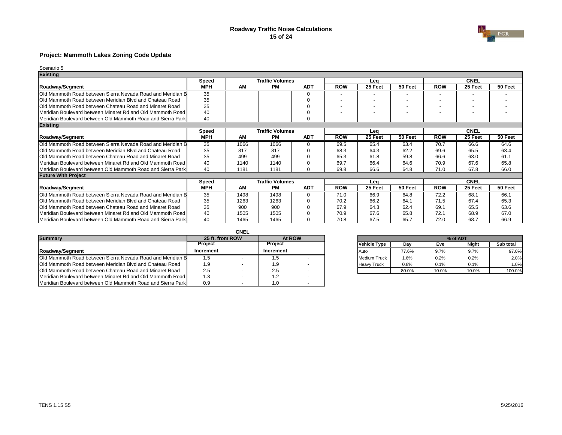### **Roadway Traffic Noise Calculations 15 of 24**



## **Project: Mammoth Lakes Zoning Code Update**

| <b>Existing</b>                                             |              |           |                        |            |                |         |         |            |             |         |
|-------------------------------------------------------------|--------------|-----------|------------------------|------------|----------------|---------|---------|------------|-------------|---------|
|                                                             | <b>Speed</b> |           | <b>Traffic Volumes</b> |            |                | Leq     |         |            | <b>CNEL</b> |         |
| <b>Roadway/Segment</b>                                      | <b>MPH</b>   | AM        | <b>PM</b>              | <b>ADT</b> | <b>ROW</b>     | 25 Feet | 50 Feet | <b>ROW</b> | 25 Feet     | 50 Feet |
| Old Mammoth Road between Sierra Nevada Road and Meridian B  | 35           |           |                        |            |                |         |         | ۰          | ٠           |         |
| Old Mammoth Road between Meridian Blvd and Chateau Road     | 35           |           |                        |            |                |         |         |            | ٠           |         |
| Old Mammoth Road between Chateau Road and Minaret Road      | 35           |           |                        |            |                |         |         |            |             |         |
| Meridian Boulevard between Minaret Rd and Old Mammoth Road  | 40           |           |                        |            | $\blacksquare$ |         |         | ٠          | ٠           |         |
| Meridian Boulevard between Old Mammoth Road and Sierra Park | 40           |           |                        |            |                |         |         |            |             |         |
| <b>Existing</b>                                             |              |           |                        |            |                |         |         |            |             |         |
|                                                             | <b>Speed</b> |           | <b>Traffic Volumes</b> |            |                | Lea     |         |            | <b>CNEL</b> |         |
| <b>Roadway/Segment</b>                                      | <b>MPH</b>   | <b>AM</b> | <b>PM</b>              | <b>ADT</b> | <b>ROW</b>     | 25 Feet | 50 Feet | <b>ROW</b> | 25 Feet     | 50 Feet |
| Old Mammoth Road between Sierra Nevada Road and Meridian B  | 35           | 1066      | 1066                   | $\Omega$   | 69.5           | 65.4    | 63.4    | 70.7       | 66.6        | 64.6    |
| Old Mammoth Road between Meridian Blvd and Chateau Road     | 35           | 817       | 817                    | n          | 68.3           | 64.3    | 62.2    | 69.6       | 65.5        | 63.4    |
| Old Mammoth Road between Chateau Road and Minaret Road      | 35           | 499       | 499                    |            | 65.3           | 61.8    | 59.8    | 66.6       | 63.0        | 61.1    |
| Meridian Boulevard between Minaret Rd and Old Mammoth Road  | 40           | 1140      | 1140                   |            | 69.7           | 66.4    | 64.6    | 70.9       | 67.6        | 65.8    |
| Meridian Boulevard between Old Mammoth Road and Sierra Park | 40           | 1181      | 1181                   | 0          | 69.8           | 66.6    | 64.8    | 71.0       | 67.8        | 66.0    |
| <b>Future With Project</b>                                  |              |           |                        |            |                |         |         |            |             |         |
|                                                             | <b>Speed</b> |           | <b>Traffic Volumes</b> |            |                | Lea     |         |            | <b>CNEL</b> |         |
| <b>Roadway/Segment</b>                                      | <b>MPH</b>   | <b>AM</b> | <b>PM</b>              | <b>ADT</b> | <b>ROW</b>     | 25 Feet | 50 Feet | <b>ROW</b> | 25 Feet     | 50 Feet |
| Old Mammoth Road between Sierra Nevada Road and Meridian B  | 35           | 1498      | 1498                   | 0          | 71.0           | 66.9    | 64.8    | 72.2       | 68.1        | 66.1    |
| Old Mammoth Road between Meridian Blvd and Chateau Road     | 35           | 1263      | 1263                   | ∩          | 70.2           | 66.2    | 64.1    | 71.5       | 67.4        | 65.3    |
| Old Mammoth Road between Chateau Road and Minaret Road      | 35           | 900       | 900                    | $\Omega$   | 67.9           | 64.3    | 62.4    | 69.1       | 65.5        | 63.6    |
| Meridian Boulevard between Minaret Rd and Old Mammoth Road  | 40           | 1505      | 1505                   |            | 70.9           | 67.6    | 65.8    | 72.1       | 68.9        | 67.0    |
| Meridian Boulevard between Old Mammoth Road and Sierra Park | 40           | 1465      | 1465                   |            | 70.8           | 67.5    | 65.7    | 72.0       | 68.7        | 66.9    |

|                                                               |                 | <b>CNEL</b> |                |        |  |                     |         |          |              |                  |
|---------------------------------------------------------------|-----------------|-------------|----------------|--------|--|---------------------|---------|----------|--------------|------------------|
| <b>Summary</b>                                                | 25 ft. from ROW |             |                | At ROW |  |                     |         | % of ADT |              |                  |
|                                                               | <b>Project</b>  |             | <b>Project</b> |        |  | <b>Vehicle Type</b> | Day     | Eve      | <b>Night</b> | <b>Sub total</b> |
| <b>IRoadway/Segment</b>                                       | Increment       |             | Increment      |        |  | <b>IAuto</b>        | 77.6%   | 9.7%     | 9.7%         | 97.0%            |
| Old Mammoth Road between Sierra Nevada Road and Meridian B    | 1.5             |             |                |        |  | Medium Truck        | $1.6\%$ | $0.2\%$  | 0.2%         | 2.0%             |
| Old Mammoth Road between Meridian Blvd and Chateau Road       | 1.9             |             | ت. ا           |        |  | <b>Heavy Truck</b>  | $0.8\%$ | 0.1%     | 0.1%         | 1.0%             |
| <b>Old Mammoth Road between Chateau Road and Minaret Road</b> | 2.5             |             | 2.5            |        |  |                     | 80.0%   | 10.0%    | 10.0%        | 100.0%           |
| Meridian Boulevard between Minaret Rd and Old Mammoth Road    | 1.3             |             |                |        |  |                     |         |          |              |                  |
| Meridian Boulevard between Old Mammoth Road and Sierra Park   | 0.9             |             |                |        |  |                     |         |          |              |                  |

| 25 ft. from ROW | At ROW         |                     |         |       | % of ADT     |           |
|-----------------|----------------|---------------------|---------|-------|--------------|-----------|
| Project         | <b>Project</b> | <b>Vehicle Type</b> | Dav     | Eve   | <b>Night</b> | Sub total |
| ıcrement        | Increment      | <b>Auto</b>         | 77.6%   | 9.7%  | 9.7%         | 97.0%     |
| 1.5             |                | Medium Truck        | $1.6\%$ | 0.2%  | 0.2%         | $2.0\%$   |
| 1.9             | . .9           | <b>Heavy Truck</b>  | 0.8%    | 0.1%  | 0.1%         | 1.0%      |
| 2.5             | 2.5            |                     | 80.0%   | 10.0% | 10.0%        | 100.0%    |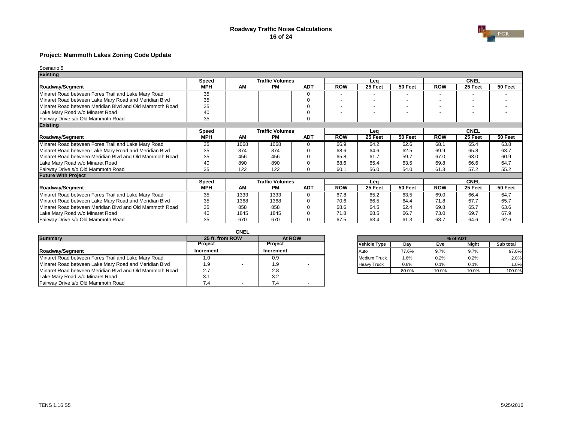### **Roadway Traffic Noise Calculations 16 of 24**



## **Project: Mammoth Lakes Zoning Code Update**

| <b>Existing</b>                                         |              |           |                        |            |                          |         |         |            |             |         |
|---------------------------------------------------------|--------------|-----------|------------------------|------------|--------------------------|---------|---------|------------|-------------|---------|
|                                                         | <b>Speed</b> |           | <b>Traffic Volumes</b> |            |                          | Lea     |         |            | <b>CNEL</b> |         |
| <b>Roadway/Segment</b>                                  | <b>MPH</b>   | <b>AM</b> | <b>PM</b>              | <b>ADT</b> | <b>ROW</b>               | 25 Feet | 50 Feet | <b>ROW</b> | 25 Feet     | 50 Feet |
| Minaret Road between Fores Trail and Lake Mary Road     | 35           |           |                        | 0          |                          |         |         |            |             |         |
| Minaret Road between Lake Mary Road and Meridian Blvd   | 35           |           |                        |            |                          |         |         |            |             |         |
| Minaret Road between Meridian Blvd and Old Mammoth Road | 35           |           |                        |            |                          |         |         |            |             |         |
| Lake Mary Road w/o Minaret Road                         | 40           |           |                        |            | $\overline{\phantom{0}}$ |         |         |            |             |         |
| Fairway Drive s/o Old Mammoth Road                      | 35           |           |                        | O          |                          |         |         |            |             |         |
| <b>Existing</b>                                         |              |           |                        |            |                          |         |         |            |             |         |
|                                                         | <b>Speed</b> |           | <b>Traffic Volumes</b> |            |                          | Lea     |         |            | <b>CNEL</b> |         |
| <b>Roadway/Segment</b>                                  | <b>MPH</b>   | <b>AM</b> | <b>PM</b>              | <b>ADT</b> | <b>ROW</b>               | 25 Feet | 50 Feet | <b>ROW</b> | 25 Feet     | 50 Feet |
| Minaret Road between Fores Trail and Lake Mary Road     | 35           | 1068      | 1068                   | 0          | 66.9                     | 64.2    | 62.6    | 68.1       | 65.4        | 63.8    |
| Minaret Road between Lake Mary Road and Meridian Blvd   | 35           | 874       | 874                    |            | 68.6                     | 64.6    | 62.5    | 69.9       | 65.8        | 63.7    |
| Minaret Road between Meridian Blvd and Old Mammoth Road | 35           | 456       | 456                    |            | 65.8                     | 61.7    | 59.7    | 67.0       | 63.0        | 60.9    |
| Lake Mary Road w/o Minaret Road                         | 40           | 890       | 890                    |            | 68.6                     | 65.4    | 63.5    | 69.8       | 66.6        | 64.7    |
| Fairway Drive s/o Old Mammoth Road                      | 35           | 122       | 122                    | O          | 60.1                     | 56.0    | 54.0    | 61.3       | 57.2        | 55.2    |
| <b>Future With Project</b>                              |              |           |                        |            |                          |         |         |            |             |         |
|                                                         | <b>Speed</b> |           | <b>Traffic Volumes</b> |            |                          | Leq     |         |            | <b>CNEL</b> |         |
| <b>Roadway/Segment</b>                                  | <b>MPH</b>   | <b>AM</b> | <b>PM</b>              | <b>ADT</b> | <b>ROW</b>               | 25 Feet | 50 Feet | <b>ROW</b> | 25 Feet     | 50 Feet |
| Minaret Road between Fores Trail and Lake Mary Road     | 35           | 1333      | 1333                   | $\Omega$   | 67.8                     | 65.2    | 63.5    | 69.0       | 66.4        | 64.7    |
| Minaret Road between Lake Mary Road and Meridian Blvd   | 35           | 1368      | 1368                   | ∩          | 70.6                     | 66.5    | 64.4    | 71.8       | 67.7        | 65.7    |
| Minaret Road between Meridian Blvd and Old Mammoth Road | 35           | 858       | 858                    |            | 68.6                     | 64.5    | 62.4    | 69.8       | 65.7        | 63.6    |
| Lake Mary Road w/o Minaret Road                         | 40           | 1845      | 1845                   |            | 71.8                     | 68.5    | 66.7    | 73.0       | 69.7        | 67.9    |
| Fairway Drive s/o Old Mammoth Road                      | 35           | 670       | 670                    |            | 67.5                     | 63.4    | 61.3    | 68.7       | 64.6        | 62.6    |

|                                                         |                 | <b>CNEL</b> |                  |        |  |                     |       |         |       |                  |
|---------------------------------------------------------|-----------------|-------------|------------------|--------|--|---------------------|-------|---------|-------|------------------|
| <b>Summary</b>                                          | 25 ft. from ROW |             |                  | At ROW |  |                     |       |         |       |                  |
|                                                         | <b>Project</b>  |             | <b>Project</b>   |        |  | <b>Vehicle Type</b> | Day   | Eve     | Night | <b>Sub total</b> |
| Roadway/Segment                                         | Increment       |             | <b>Increment</b> |        |  | l Auto              | 77.6% | 9.7%    | 9.7%  | 97.0%            |
| Minaret Road between Fores Trail and Lake Mary Road     |                 |             | 0.9              |        |  | Medium Truck        | 1.6%  | $0.2\%$ | 0.2%  | 2.0%             |
| Minaret Road between Lake Mary Road and Meridian Blvd   | 9. ا            |             | 1.9              |        |  | <b>Heavy Truck</b>  | 0.8%  | 0.1%    | 0.1%  | 1.0%             |
| Minaret Road between Meridian Blvd and Old Mammoth Road | 2.7             |             | 2.8              |        |  |                     | 80.0% | 10.0%   | 10.0% | 100.0%           |
| Lake Mary Road w/o Minaret Road                         | 3.1             |             | 3.2              |        |  |                     |       |         |       |                  |
| Fairway Drive s/o Old Mammoth Road                      | 7.4             | . .         |                  |        |  |                     |       |         |       |                  |

| 25 ft. from ROW |                  | At ROW |                     | % of ADT |       |              |           |  |  |  |
|-----------------|------------------|--------|---------------------|----------|-------|--------------|-----------|--|--|--|
| Project         | <b>Project</b>   |        | <b>Vehicle Type</b> | Dav      | Eve   | <b>Night</b> | Sub total |  |  |  |
| ıcrement        | <b>Increment</b> |        | <b>I</b> Auto       | 77.6%    | 9.7%  | 9.7%         | 97.0%     |  |  |  |
| 1.0             | 0.9              |        | <b>Medium Truck</b> | .6%      | 0.2%  | 0.2%         | 2.0%      |  |  |  |
| 1.9             | .9               | -      | <b>Heavy Truck</b>  | 0.8%     | 0.1%  | 0.1%         | 1.0%      |  |  |  |
| 2.7             | 2.8              |        |                     | 80.0%    | 10.0% | 10.0%        | 100.0%    |  |  |  |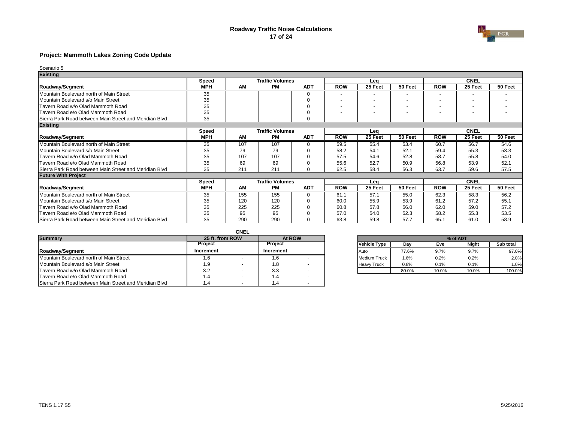### **Roadway Traffic Noise Calculations 17 of 24**



## **Project: Mammoth Lakes Zoning Code Update**

| <b>Existing</b>                                        |              |           |                        |            |                          |         |         |            |             |         |
|--------------------------------------------------------|--------------|-----------|------------------------|------------|--------------------------|---------|---------|------------|-------------|---------|
|                                                        | <b>Speed</b> |           | <b>Traffic Volumes</b> |            |                          | Lea     |         |            | <b>CNEL</b> |         |
| <b>Roadway/Segment</b>                                 | <b>MPH</b>   | AM        | <b>PM</b>              | <b>ADT</b> | <b>ROW</b>               | 25 Feet | 50 Feet | <b>ROW</b> | 25 Feet     | 50 Feet |
| Mountain Boulevard north of Main Street                | 35           |           |                        | 0          |                          |         |         |            |             |         |
| Mountain Boulevard s/o Main Street                     | 35           |           |                        |            |                          |         |         |            |             |         |
| Tavern Road w/o Olad Mammoth Road                      | 35           |           |                        |            |                          |         |         |            |             |         |
| Tavern Road e/o Olad Mammoth Road                      | 35           |           |                        |            | $\overline{\phantom{a}}$ |         |         |            |             |         |
| Sierra Park Road between Main Street and Meridian Blvd | 35           |           |                        | C          | $\overline{\phantom{a}}$ |         |         |            |             |         |
| <b>Existing</b>                                        |              |           |                        |            |                          |         |         |            |             |         |
|                                                        | <b>Speed</b> |           | <b>Traffic Volumes</b> |            |                          | Lea     |         |            | <b>CNEL</b> |         |
| <b>Roadway/Segment</b>                                 | <b>MPH</b>   | <b>AM</b> | <b>PM</b>              | <b>ADT</b> | <b>ROW</b>               | 25 Feet | 50 Feet | <b>ROW</b> | 25 Feet     | 50 Feet |
| Mountain Boulevard north of Main Street                | 35           | 107       | 107                    | C          | 59.5                     | 55.4    | 53.4    | 60.7       | 56.7        | 54.6    |
| Mountain Boulevard s/o Main Street                     | 35           | 79        | 79                     | 0          | 58.2                     | 54.1    | 52.1    | 59.4       | 55.3        | 53.3    |
| Tavern Road w/o Olad Mammoth Road                      | 35           | 107       | 107                    | $\Omega$   | 57.5                     | 54.6    | 52.8    | 58.7       | 55.8        | 54.0    |
| Tavern Road e/o Olad Mammoth Road                      | 35           | 69        | 69                     |            | 55.6                     | 52.7    | 50.9    | 56.8       | 53.9        | 52.1    |
| Sierra Park Road between Main Street and Meridian Blvd | 35           | 211       | 211                    | $\Omega$   | 62.5                     | 58.4    | 56.3    | 63.7       | 59.6        | 57.5    |
| <b>Future With Project</b>                             |              |           |                        |            |                          |         |         |            |             |         |
|                                                        | <b>Speed</b> |           | <b>Traffic Volumes</b> |            |                          | Lea     |         |            | <b>CNEL</b> |         |
| <b>Roadway/Segment</b>                                 | <b>MPH</b>   | <b>AM</b> | PM                     | <b>ADT</b> | <b>ROW</b>               | 25 Feet | 50 Feet | <b>ROW</b> | 25 Feet     | 50 Feet |
| Mountain Boulevard north of Main Street                | 35           | 155       | 155                    | 0          | 61.1                     | 57.1    | 55.0    | 62.3       | 58.3        | 56.2    |
| Mountain Boulevard s/o Main Street                     | 35           | 120       | 120                    | C          | 60.0                     | 55.9    | 53.9    | 61.2       | 57.2        | 55.1    |
| Tavern Road w/o Olad Mammoth Road                      | 35           | 225       | 225                    | 0          | 60.8                     | 57.8    | 56.0    | 62.0       | 59.0        | 57.2    |
| Tavern Road e/o Olad Mammoth Road                      | 35           | 95        | 95                     |            | 57.0                     | 54.0    | 52.3    | 58.2       | 55.3        | 53.5    |
| Sierra Park Road between Main Street and Meridian Blvd | 35           | 290       | 290                    | 0          | 63.8                     | 59.8    | 57.7    | 65.1       | 61.0        | 58.9    |

|                                                        |                 | <b>CNEL</b> |                |  |                     |       |         |          |                  |
|--------------------------------------------------------|-----------------|-------------|----------------|--|---------------------|-------|---------|----------|------------------|
| <b>Summary</b>                                         | 25 ft. from ROW |             | At ROW         |  |                     |       |         | % of ADT |                  |
|                                                        | <b>Project</b>  |             | <b>Project</b> |  | <b>Vehicle Type</b> | Day   | Eve     | Night    | <b>Sub total</b> |
| <b>IRoadwav/Segment</b>                                | Increment       |             | Increment      |  | <b>IAuto</b>        | 77.6% | 9.7%    | 9.7%     | 97.0%            |
| Mountain Boulevard north of Main Street                | 1.6             |             | l .O           |  | Medium Truck        | 1.6%  | $0.2\%$ | 0.2%     | 2.0%             |
| Mountain Boulevard s/o Main Street                     | 1.9             |             | 1.O            |  | <b>Heavy Truck</b>  | 0.8%  | 0.1%    | 0.1%     | 1.0%             |
| Tavern Road w/o Olad Mammoth Road                      | 3.2             |             | 3.3            |  |                     | 80.0% | 10.0%   | 10.0%    | 100.0%           |
| Tavern Road e/o Olad Mammoth Road                      | 1.4             |             |                |  |                     |       |         |          |                  |
| Sierra Park Road between Main Street and Meridian Blvd | 1.4             |             |                |  |                     |       |         |          |                  |

| 25 ft. from ROW | At ROW           | % of ADT            |       |       |              |           |  |  |  |
|-----------------|------------------|---------------------|-------|-------|--------------|-----------|--|--|--|
| Project         | <b>Project</b>   | <b>Vehicle Type</b> | Dav   | Eve   | <b>Night</b> | Sub total |  |  |  |
| ıcrement        | <b>Increment</b> | <b>I</b> Auto       | 77.6% | 9.7%  | 9.7%         | 97.0%     |  |  |  |
| l .6            |                  | <b>Medium Truck</b> | .6%   | 0.2%  | 0.2%         | 2.0%      |  |  |  |
| 1.9             |                  | <b>Heavy Truck</b>  | 0.8%  | 0.1%  | 0.1%         | 1.0%      |  |  |  |
| 3.2             | 3.3              |                     | 80.0% | 10.0% | 10.0%        | 100.0%    |  |  |  |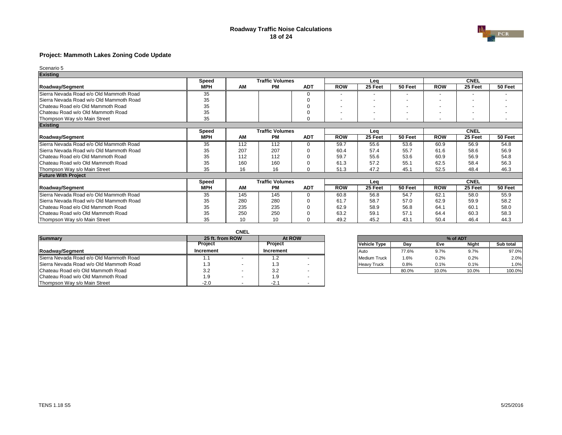### **Roadway Traffic Noise Calculations 18 of 24**



## **Project: Mammoth Lakes Zoning Code Update**

| <b>Existing</b>                         |              |           |                        |            |                          |         |         |            |             |         |
|-----------------------------------------|--------------|-----------|------------------------|------------|--------------------------|---------|---------|------------|-------------|---------|
|                                         | <b>Speed</b> |           | <b>Traffic Volumes</b> |            |                          | Lea     |         |            | <b>CNEL</b> |         |
| <b>Roadway/Segment</b>                  | <b>MPH</b>   | AM        | <b>PM</b>              | <b>ADT</b> | <b>ROW</b>               | 25 Feet | 50 Feet | <b>ROW</b> | 25 Feet     | 50 Feet |
| Sierra Nevada Road e/o Old Mammoth Road | 35           |           |                        | 0          |                          |         |         |            |             |         |
| Sierra Nevada Road w/o Old Mammoth Road | 35           |           |                        |            |                          |         |         |            |             |         |
| Chateau Road e/o Old Mammoth Road       | 35           |           |                        |            |                          |         |         |            |             |         |
| Chateau Road w/o Old Mammoth Road       | 35           |           |                        |            | $\overline{\phantom{a}}$ |         |         |            |             |         |
| Thompson Way s/o Main Street            | 35           |           |                        | C          |                          |         |         |            |             |         |
| <b>Existing</b>                         |              |           |                        |            |                          |         |         |            |             |         |
|                                         | <b>Speed</b> |           | <b>Traffic Volumes</b> |            |                          | Lea     |         |            | <b>CNEL</b> |         |
| <b>Roadway/Segment</b>                  | <b>MPH</b>   | <b>AM</b> | <b>PM</b>              | <b>ADT</b> | <b>ROW</b>               | 25 Feet | 50 Feet | <b>ROW</b> | 25 Feet     | 50 Feet |
| Sierra Nevada Road e/o Old Mammoth Road | 35           | 112       | 112                    | 0          | 59.7                     | 55.6    | 53.6    | 60.9       | 56.9        | 54.8    |
| Sierra Nevada Road w/o Old Mammoth Road | 35           | 207       | 207                    | C          | 60.4                     | 57.4    | 55.7    | 61.6       | 58.6        | 56.9    |
| Chateau Road e/o Old Mammoth Road       | 35           | 112       | 112                    |            | 59.7                     | 55.6    | 53.6    | 60.9       | 56.9        | 54.8    |
| Chateau Road w/o Old Mammoth Road       | 35           | 160       | 160                    |            | 61.3                     | 57.2    | 55.1    | 62.5       | 58.4        | 56.3    |
| Thompson Way s/o Main Street            | 35           | 16        | 16                     | O          | 51.3                     | 47.2    | 45.1    | 52.5       | 48.4        | 46.3    |
| <b>Future With Project</b>              |              |           |                        |            |                          |         |         |            |             |         |
|                                         | <b>Speed</b> |           | <b>Traffic Volumes</b> |            |                          | Leq     |         |            | <b>CNEL</b> |         |
| <b>Roadway/Segment</b>                  | <b>MPH</b>   | <b>AM</b> | <b>PM</b>              | <b>ADT</b> | <b>ROW</b>               | 25 Feet | 50 Feet | <b>ROW</b> | 25 Feet     | 50 Feet |
| Sierra Nevada Road e/o Old Mammoth Road | 35           | 145       | 145                    | $\Omega$   | 60.8                     | 56.8    | 54.7    | 62.1       | 58.0        | 55.9    |
| Sierra Nevada Road w/o Old Mammoth Road | 35           | 280       | 280                    | ∩          | 61.7                     | 58.7    | 57.0    | 62.9       | 59.9        | 58.2    |
| Chateau Road e/o Old Mammoth Road       | 35           | 235       | 235                    | 0          | 62.9                     | 58.9    | 56.8    | 64.7       | 60.1        | 58.0    |
| Chateau Road w/o Old Mammoth Road       | 35           | 250       | 250                    |            | 63.2                     | 59.1    | 57.1    | 64.4       | 60.3        | 58.3    |
| Thompson Way s/o Main Street            | 35           | 10        | 10                     |            | 49.2                     | 45.2    | 43.1    | 50.4       | 46.4        | 44.3    |

|                                         |                | <b>CNEL</b>     |                                                     |        |  |                    |          |       |       |                  |
|-----------------------------------------|----------------|-----------------|-----------------------------------------------------|--------|--|--------------------|----------|-------|-------|------------------|
| <b>Summary</b>                          |                | 25 ft. from ROW |                                                     | At ROW |  |                    | % of ADT |       |       |                  |
|                                         | <b>Project</b> |                 | <b>Project</b><br><b>Vehicle Type</b><br>Day<br>Eve |        |  |                    |          |       | Night | <b>Sub total</b> |
| Roadway/Segment                         | Increment      |                 | Increment                                           |        |  | <b>IAuto</b>       | 77.6%    | 9.7%  | 9.7%  | 97.0%            |
| Sierra Nevada Road e/o Old Mammoth Road |                |                 |                                                     |        |  | Medium Truck       | 1.6%     | 0.2%  | 0.2%  | 2.0%             |
| Sierra Nevada Road w/o Old Mammoth Road | 1.3            |                 | ں. ا                                                |        |  | <b>Heavy Truck</b> | 0.8%     | 0.1%  | 0.1%  | 1.0%             |
| Chateau Road e/o Old Mammoth Road       | 3.2            |                 | 3.2                                                 |        |  |                    | 80.0%    | 10.0% | 10.0% | 100.0%           |
| Chateau Road w/o Old Mammoth Road       | 1.9            |                 | - C<br>ت. ا                                         |        |  |                    |          |       |       |                  |
| Thompson Way s/o Main Street            | $-2.0$         |                 | $-2.1$                                              |        |  |                    |          |       |       |                  |

| 25 ft. from ROW | At ROW           | % of ADT            |         |       |              |           |  |  |  |
|-----------------|------------------|---------------------|---------|-------|--------------|-----------|--|--|--|
| Project         | <b>Project</b>   | <b>Vehicle Type</b> | Dav     | Eve   | <b>Night</b> | Sub total |  |  |  |
| ıcrement        | <b>Increment</b> | <b>Auto</b>         | 77.6%   | 9.7%  | 9.7%         | 97.0%     |  |  |  |
| .               |                  | Medium Truck        | $1.6\%$ | 0.2%  | 0.2%         | 2.0%      |  |  |  |
| 1.3             |                  | <b>Heavy Truck</b>  | 0.8%    | 0.1%  | 0.1%         | 1.0%      |  |  |  |
| 3.2             | 3.2              |                     | 80.0%   | 10.0% | 10.0%        | 100.0%    |  |  |  |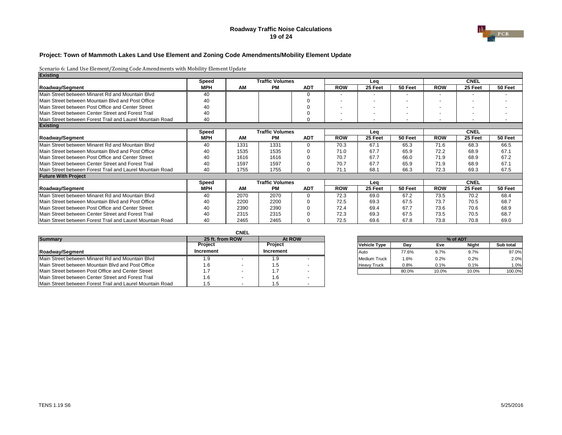### **Roadway Traffic Noise Calculations 19 of 24**



## **Project: Town of Mammoth Lakes Land Use Element and Zoning Code Amendments/Mobility Element Update**

| <b>Existing</b>                                           |              |           |                        |            |            |         |         |            |                          |         |
|-----------------------------------------------------------|--------------|-----------|------------------------|------------|------------|---------|---------|------------|--------------------------|---------|
|                                                           | <b>Speed</b> |           | <b>Traffic Volumes</b> |            |            | Lea     |         |            | <b>CNEL</b>              |         |
| <b>Roadway/Segment</b>                                    | <b>MPH</b>   | <b>AM</b> | <b>PM</b>              | <b>ADT</b> | <b>ROW</b> | 25 Feet | 50 Feet | <b>ROW</b> | 25 Feet                  | 50 Feet |
| Main Street between Minaret Rd and Mountain Blvd          | 40           |           |                        |            |            |         |         |            |                          |         |
| Main Street between Mountain Blyd and Post Office         | 40           |           |                        |            |            |         |         |            |                          |         |
| Main Street between Post Office and Center Street         | 40           |           |                        |            |            |         |         |            | $\overline{\phantom{0}}$ |         |
| Main Street between Center Street and Forest Trail        | 40           |           |                        |            | ٠          |         |         |            | $\overline{\phantom{0}}$ |         |
| Main Street between Forest Trail and Laurel Mountain Road | 40           |           |                        |            |            |         |         |            | $\overline{\phantom{0}}$ |         |
| <b>Existing</b>                                           |              |           |                        |            |            |         |         |            |                          |         |
|                                                           | <b>Speed</b> |           | <b>Traffic Volumes</b> |            |            | Lea     |         |            | <b>CNEL</b>              |         |
| <b>Roadway/Segment</b>                                    | <b>MPH</b>   | <b>AM</b> | <b>PM</b>              | <b>ADT</b> | <b>ROW</b> | 25 Feet | 50 Feet | <b>ROW</b> | 25 Feet                  | 50 Feet |
| Main Street between Minaret Rd and Mountain Blvd          | 40           | 1331      | 1331                   |            | 70.3       | 67.1    | 65.3    | 71.6       | 68.3                     | 66.5    |
| Main Street between Mountain Blvd and Post Office         | 40           | 1535      | 1535                   |            | 71.0       | 67.7    | 65.9    | 72.2       | 68.9                     | 67.1    |
| Main Street between Post Office and Center Street         | 40           | 1616      | 1616                   |            | 70.7       | 67.7    | 66.0    | 71.9       | 68.9                     | 67.2    |
| Main Street between Center Street and Forest Trail        | 40           | 1597      | 1597                   |            | 70.7       | 67.7    | 65.9    | 71.9       | 68.9                     | 67.1    |
| Main Street between Forest Trail and Laurel Mountain Road | 40           | 1755      | 1755                   | ∩          | 71.1       | 68.1    | 66.3    | 72.3       | 69.3                     | 67.5    |
| <b>Future With Project</b>                                |              |           |                        |            |            |         |         |            |                          |         |
|                                                           | <b>Speed</b> |           | <b>Traffic Volumes</b> |            |            | Lea     |         |            | <b>CNEL</b>              |         |
| <b>Roadway/Segment</b>                                    | <b>MPH</b>   | <b>AM</b> | <b>PM</b>              | <b>ADT</b> | <b>ROW</b> | 25 Feet | 50 Feet | <b>ROW</b> | 25 Feet                  | 50 Feet |
| Main Street between Minaret Rd and Mountain Blvd          | 40           | 2070      | 2070                   |            | 72.3       | 69.0    | 67.2    | 73.5       | 70.2                     | 68.4    |
| Main Street between Mountain Blvd and Post Office         | 40           | 2200      | 2200                   |            | 72.5       | 69.3    | 67.5    | 73.7       | 70.5                     | 68.7    |
| Main Street between Post Office and Center Street         | 40           | 2390      | 2390                   |            | 72.4       | 69.4    | 67.7    | 73.6       | 70.6                     | 68.9    |
| Main Street between Center Street and Forest Trail        | 40           | 2315      | 2315                   |            | 72.3       | 69.3    | 67.5    | 73.5       | 70.5                     | 68.7    |
| Main Street between Forest Trail and Laurel Mountain Road | 40           | 2465      | 2465                   |            | 72.5       | 69.6    | 67.8    | 73.8       | 70.8                     | 69.0    |

|                                                           |                             | <b>CNEL</b> |                  |        |       |                    |       |          |       |        |
|-----------------------------------------------------------|-----------------------------|-------------|------------------|--------|-------|--------------------|-------|----------|-------|--------|
| <b>Summary</b>                                            | 25 ft. from ROW             |             |                  | At ROW |       |                    |       | % of ADT |       |        |
|                                                           | <b>Project</b>              |             | <b>Project</b>   |        | Night | Sub total          |       |          |       |        |
| Roadway/Segment                                           | Increment                   |             | <b>Increment</b> |        |       | l Auto             | 77.6% | 9.7%     | 9.7%  | 97.0%  |
| Main Street between Minaret Rd and Mountain Blvd          | .9                          |             | 1.9              |        |       | Medium Truck       | 1.6%  | $0.2\%$  | 0.2%  | 2.0%   |
| Main Street between Mountain Blvd and Post Office         | . 6                         |             | 1.5              |        |       | <b>Heavy Truck</b> | 0.8%  | 0.1%     | 0.1%  | 1.0%   |
| Main Street between Post Office and Center Street         | $\overline{\phantom{0}}$ .7 |             |                  |        |       |                    | 80.0% | 10.0%    | 10.0% | 100.0% |
| Main Street between Center Street and Forest Trail        | .6                          |             | 1.6              |        |       |                    |       |          |       |        |
| Main Street between Forest Trail and Laurel Mountain Road | .5                          |             |                  |        |       |                    |       |          |       |        |

| 25 ft. from ROW | At ROW           |                     | % of ADT |       |              |           |  |  |  |
|-----------------|------------------|---------------------|----------|-------|--------------|-----------|--|--|--|
| Project         | <b>Project</b>   | <b>Vehicle Type</b> | Day      | Eve   | <b>Night</b> | Sub total |  |  |  |
| ıcrement        | <b>Increment</b> | <b>Auto</b>         | 77.6%    | 9.7%  | $9.7\%$      | 97.0%     |  |  |  |
| 1.9             |                  | <b>Medium Truck</b> | 1.6%     | 0.2%  | 0.2%         | 2.0%      |  |  |  |
| 1.6             | .5               | <b>Heavy Truck</b>  | 0.8%     | 0.1%  | 0.1%         | 1.0%      |  |  |  |
|                 |                  |                     | 80.0%    | 10.0% | 10.0%        | 100.0%    |  |  |  |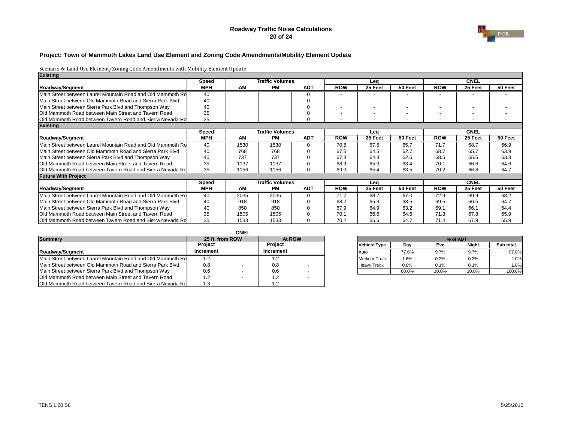### **Roadway Traffic Noise Calculations 20 of 24**



## **Project: Town of Mammoth Lakes Land Use Element and Zoning Code Amendments/Mobility Element Update**

| <b>Existing</b>                                             |                 |      |                        |            |            |         |         |                   |             |         |
|-------------------------------------------------------------|-----------------|------|------------------------|------------|------------|---------|---------|-------------------|-------------|---------|
|                                                             | <b>Speed</b>    |      | <b>Traffic Volumes</b> |            |            | Lea     |         |                   | <b>CNEL</b> |         |
| <b>Roadway/Segment</b>                                      | <b>MPH</b>      | AM   | <b>PM</b>              | <b>ADT</b> | <b>ROW</b> | 25 Feet | 50 Feet | <b>ROW</b>        | 25 Feet     | 50 Feet |
| Main Street between Laurel Mountain Road and Old Mammoth Ro | 40              |      |                        | $\Omega$   |            |         |         |                   |             |         |
| Main Street between Old Mammoth Road and Sierra Park Blyd   | 40              |      |                        |            |            |         |         |                   |             |         |
| Main Street between Sierra Park Blvd and Thompson Way       | 40              |      |                        |            |            |         |         |                   |             |         |
| Old Mammoth Road between Main Street and Tavern Road        | 35              |      |                        |            |            |         |         |                   |             |         |
| Old Mammoth Road between Tavern Road and Sierra Nevada Ro   | 35              |      |                        | 0          |            |         |         |                   |             |         |
| <b>Existing</b>                                             |                 |      |                        |            |            |         |         |                   |             |         |
|                                                             | <b>Speed</b>    |      | <b>Traffic Volumes</b> |            |            | Lea     |         |                   | <b>CNEL</b> |         |
| <b>Roadway/Segment</b>                                      | <b>MPH</b>      | AM   | <b>PM</b>              | <b>ADT</b> | <b>ROW</b> | 25 Feet | 50 Feet | <b>ROW</b>        | 25 Feet     | 50 Feet |
| Main Street between Laurel Mountain Road and Old Mammoth Ro | $\overline{40}$ | 1530 | 1530                   |            | 70.5       | 67.5    | 65.7    | $\overline{71.7}$ | 68.7        | 66.9    |
| Main Street between Old Mammoth Road and Sierra Park Blvd   | 40              | 768  | 768                    |            | 67.5       | 64.5    | 62.7    | 68.7              | 65.7        | 63.9    |
| Main Street between Sierra Park Blvd and Thompson Way       | 40              | 737  | 737                    |            | 67.3       | 64.3    | 62.6    | 68.5              | 65.5        | 63.8    |
| Old Mammoth Road between Main Street and Tavern Road        | 35              | 1137 | 1137                   |            | 68.9       | 65.3    | 63.4    | 70.1              | 66.6        | 64.6    |
| Old Mammoth Road between Tavern Road and Sierra Nevada Ro   | 35              | 1156 | 1156                   | ∩          | 69.0       | 65.4    | 63.5    | 70.2              | 66.6        | 64.7    |
| <b>Future With Project</b>                                  |                 |      |                        |            |            |         |         |                   |             |         |
|                                                             | <b>Speed</b>    |      | <b>Traffic Volumes</b> |            |            | Lea     |         |                   | <b>CNEL</b> |         |
| <b>Roadway/Segment</b>                                      | <b>MPH</b>      | AM   | <b>PM</b>              | <b>ADT</b> | <b>ROW</b> | 25 Feet | 50 Feet | <b>ROW</b>        | 25 Feet     | 50 Feet |
| Main Street between Laurel Mountain Road and Old Mammoth Ro | 40              | 2035 | 2035                   | ∩          | 71.7       | 68.7    | 67.0    | 72.9              | 69.9        | 68.2    |
| Main Street between Old Mammoth Road and Sierra Park Blvd   | 40              | 918  | 918                    |            | 68.2       | 65.3    | 63.5    | 69.5              | 66.5        | 64.7    |
| Main Street between Sierra Park Blvd and Thompson Way       | 40              | 850  | 850                    |            | 67.9       | 64.9    | 63.2    | 69.1              | 66.1        | 64.4    |
| Old Mammoth Road between Main Street and Tavern Road        | 35              | 1505 | 1505                   |            | 70.1       | 66.6    | 64.6    | 71.3              | 67.8        | 65.9    |
| Old Mammoth Road between Tavern Road and Sierra Nevada Ro   | 35              | 1533 | 1533                   |            | 70.2       | 66.6    | 64.7    | 71.4              | 67.9        | 65.9    |

|                                                             |                 | <b>CNEL</b> |                  |                          |                     |         |          |       |           |
|-------------------------------------------------------------|-----------------|-------------|------------------|--------------------------|---------------------|---------|----------|-------|-----------|
| <b>Summary</b>                                              | 25 ft. from ROW |             | At ROW           |                          |                     |         | % of ADT |       |           |
|                                                             | <b>Project</b>  |             | <b>Project</b>   |                          | Vehicle Type        | Dav     | Eve      | Night | Sub total |
| <b>IRoadway/Segment</b>                                     | Increment       |             | <b>Increment</b> |                          | <b>Auto</b>         | 77.6%   | 9.7%     | 9.7%  | 97.0%     |
| Main Street between Laurel Mountain Road and Old Mammoth Ro | 1.2             |             |                  |                          | <b>Medium Truck</b> | $1.6\%$ | 0.2%     | 0.2%  | 2.0%      |
| Main Street between Old Mammoth Road and Sierra Park Blvd   | 0.8             |             | 0.8              | $\overline{\phantom{a}}$ | <b>Heavy Truck</b>  | 0.8%    | 0.1%     | 0.1%  | 1.0%      |
| Main Street between Sierra Park Blvd and Thompson Way       | 0.6             |             | 0.6              |                          |                     | 80.0%   | 10.0%    | 10.0% | 100.0%    |
| Old Mammoth Road between Main Street and Tavern Road        | 1.2             |             | 1.2              |                          |                     |         |          |       |           |
| Old Mammoth Road between Tavern Road and Sierra Nevada Ro   | 1.3             |             |                  |                          |                     |         |          |       |           |

| 25 ft. from ROW |                  | At ROW | % of ADT |                     |       |            |              |           |  |
|-----------------|------------------|--------|----------|---------------------|-------|------------|--------------|-----------|--|
| Project         | <b>Project</b>   |        |          | <b>Vehicle Type</b> | Day   | <b>Eve</b> | <b>Night</b> | Sub total |  |
| ıcrement        | <b>Increment</b> |        |          | <b>Auto</b>         | 77.6% | 9.7%       | 9.7%         | 97.0%     |  |
| 1.2             |                  |        |          | <b>Medium Truck</b> | 1.6%  | 0.2%       | 0.2%         | 2.0%      |  |
| 0.8             | 0.8              |        |          | <b>Heavy Truck</b>  | 0.8%  | 0.1%       | 0.1%         | 1.0%      |  |
| 0.6             | 0.6              |        |          |                     | 80.0% | 10.0%      | 10.0%        | 100.0%    |  |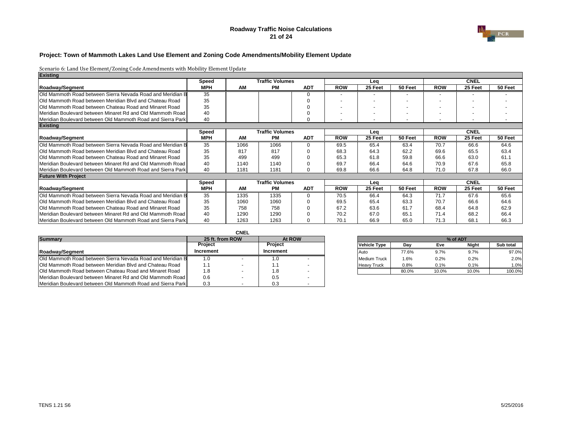### **Roadway Traffic Noise Calculations 21 of 24**



## **Project: Town of Mammoth Lakes Land Use Element and Zoning Code Amendments/Mobility Element Update**

| <b>Existing</b>                                                |              |           |                        |            |            |         |         |            |                          |         |
|----------------------------------------------------------------|--------------|-----------|------------------------|------------|------------|---------|---------|------------|--------------------------|---------|
|                                                                | <b>Speed</b> |           | <b>Traffic Volumes</b> |            |            | Lea     |         |            | <b>CNEL</b>              |         |
| <b>Roadway/Segment</b>                                         | <b>MPH</b>   | <b>AM</b> | <b>PM</b>              | <b>ADT</b> | <b>ROW</b> | 25 Feet | 50 Feet | <b>ROW</b> | 25 Feet                  | 50 Feet |
| Old Mammoth Road between Sierra Nevada Road and Meridian B     | 35           |           |                        |            |            |         |         |            | $\overline{\phantom{0}}$ |         |
| Old Mammoth Road between Meridian Blvd and Chateau Road        | 35           |           |                        |            |            |         |         |            | $\overline{\phantom{0}}$ |         |
| <b>Old Mammoth Road between Chateau Road and Minaret Road</b>  | 35           |           |                        |            |            |         |         |            | $\blacksquare$           |         |
| Meridian Boulevard between Minaret Rd and Old Mammoth Road     | 40           |           |                        |            |            |         |         |            |                          |         |
| Meridian Boulevard between Old Mammoth Road and Sierra Park    | 40           |           |                        |            |            |         |         |            | $\overline{\phantom{a}}$ |         |
| <b>Existing</b>                                                |              |           |                        |            |            |         |         |            |                          |         |
|                                                                | <b>Speed</b> |           | <b>Traffic Volumes</b> |            |            | Leg     |         |            | <b>CNEL</b>              |         |
| <b>Roadway/Segment</b>                                         | <b>MPH</b>   | <b>AM</b> | <b>PM</b>              | <b>ADT</b> | <b>ROW</b> | 25 Feet | 50 Feet | <b>ROW</b> | 25 Feet                  | 50 Feet |
| Old Mammoth Road between Sierra Nevada Road and Meridian B     | 35           | 1066      | 1066                   |            | 69.5       | 65.4    | 63.4    | 70.7       | 66.6                     | 64.6    |
| Old Mammoth Road between Meridian Blvd and Chateau Road        | 35           | 817       | 817                    |            | 68.3       | 64.3    | 62.2    | 69.6       | 65.5                     | 63.4    |
| <b>IOld Mammoth Road between Chateau Road and Minaret Road</b> | 35           | 499       | 499                    |            | 65.3       | 61.8    | 59.8    | 66.6       | 63.0                     | 61.1    |
| Meridian Boulevard between Minaret Rd and Old Mammoth Road     | 40           | 1140      | 1140                   |            | 69.7       | 66.4    | 64.6    | 70.9       | 67.6                     | 65.8    |
| Meridian Boulevard between Old Mammoth Road and Sierra Park    | 40           | 1181      | 1181                   |            | 69.8       | 66.6    | 64.8    | 71.0       | 67.8                     | 66.0    |
| <b>Future With Project</b>                                     |              |           |                        |            |            |         |         |            |                          |         |
|                                                                | <b>Speed</b> |           | <b>Traffic Volumes</b> |            |            | Lea     |         |            | <b>CNEL</b>              |         |
| <b>Roadway/Segment</b>                                         | <b>MPH</b>   | <b>AM</b> | <b>PM</b>              | <b>ADT</b> | <b>ROW</b> | 25 Feet | 50 Feet | <b>ROW</b> | 25 Feet                  | 50 Feet |
| IOld Mammoth Road between Sierra Nevada Road and Meridian B    | 35           | 1335      | 1335                   |            | 70.5       | 66.4    | 64.3    | 71.7       | 67.6                     | 65.6    |
| Old Mammoth Road between Meridian Blvd and Chateau Road        | 35           | 1060      | 1060                   |            | 69.5       | 65.4    | 63.3    | 70.7       | 66.6                     | 64.6    |
| Old Mammoth Road between Chateau Road and Minaret Road         | 35           | 758       | 758                    |            | 67.2       | 63.6    | 61.7    | 68.4       | 64.8                     | 62.9    |
| Meridian Boulevard between Minaret Rd and Old Mammoth Road     | 40           | 1290      | 1290                   |            | 70.2       | 67.0    | 65.7    | 71.4       | 68.2                     | 66.4    |
| Meridian Boulevard between Old Mammoth Road and Sierra Park    | 40           | 1263      | 1263                   |            | 70.1       | 66.9    | 65.0    | 71.3       | 68.1                     | 66.3    |

|                                                                |                 | <b>CNEL</b> |                  |  |                     |         |          |       |           |
|----------------------------------------------------------------|-----------------|-------------|------------------|--|---------------------|---------|----------|-------|-----------|
| <b>Summary</b>                                                 | 25 ft. from ROW |             | At ROW           |  |                     |         | % of ADT |       |           |
|                                                                | <b>Project</b>  |             | <b>Project</b>   |  | <b>Vehicle Type</b> | Dav     | Eve      | Night | Sub total |
| <b>IRoadwav/Segment</b>                                        | Increment       |             | <b>Increment</b> |  | <b>IAuto</b>        | 77.6%   | 9.7%     | 9.7%  | 97.0%     |
| Old Mammoth Road between Sierra Nevada Road and Meridian B     | 1.0             |             | IJ.              |  | Medium Truck        | $1.6\%$ | 0.2%     | 0.2%  | 2.0%      |
| Old Mammoth Road between Meridian Blvd and Chateau Road        | 1.1             |             |                  |  | <b>Heavy Truck</b>  | 0.8%    | 0.1%     | 0.1%  | 1.0%      |
| <b>IOld Mammoth Road between Chateau Road and Minaret Road</b> | 1.8             |             | 1.O              |  |                     | 80.0%   | 10.0%    | 10.0% | 100.0%    |
| Meridian Boulevard between Minaret Rd and Old Mammoth Road     | 0.6             |             | 0.5              |  |                     |         |          |       |           |
| Meridian Boulevard between Old Mammoth Road and Sierra Park    | 0.3             |             | 0.3              |  |                     |         |          |       |           |

| 25 ft. from ROW | At ROW           |             |                     |         | % of ADT |              |           |
|-----------------|------------------|-------------|---------------------|---------|----------|--------------|-----------|
| <b>Project</b>  | <b>Project</b>   |             | <b>Vehicle Type</b> | Day     | Eve      | <b>Night</b> | Sub total |
| ıcrement        | <b>Increment</b> | <b>Auto</b> |                     | 77.6%   | 9.7%     | 9.7%         | 97.0%     |
| 1.0             |                  |             | Medium Truck        | $1.6\%$ | 0.2%     | 0.2%         | 2.0%      |
| 1.1             |                  |             | <b>Heavy Truck</b>  | 0.8%    | 0.1%     | 0.1%         | 1.0%      |
| 1.8             |                  |             |                     | 80.0%   | 10.0%    | 10.0%        | 100.0%    |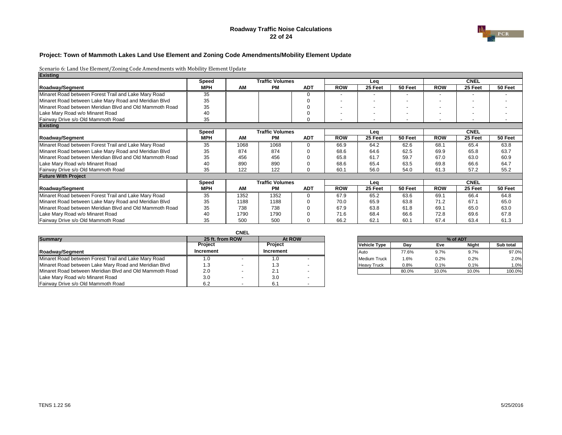### **Roadway Traffic Noise Calculations 22 of 24**



## **Project: Town of Mammoth Lakes Land Use Element and Zoning Code Amendments/Mobility Element Update**

| <b>Existing</b>                                         |              |      |                        |            |            |         |         |            |             |         |
|---------------------------------------------------------|--------------|------|------------------------|------------|------------|---------|---------|------------|-------------|---------|
|                                                         | <b>Speed</b> |      | <b>Traffic Volumes</b> |            |            | Lea     |         |            | <b>CNEL</b> |         |
| <b>Roadway/Segment</b>                                  | <b>MPH</b>   | AM   | <b>PM</b>              | <b>ADT</b> | <b>ROW</b> | 25 Feet | 50 Feet | <b>ROW</b> | 25 Feet     | 50 Feet |
| Minaret Road between Forest Trail and Lake Mary Road    | 35           |      |                        | $\Omega$   |            |         |         |            |             |         |
| Minaret Road between Lake Mary Road and Meridian Blvd   | 35           |      |                        |            |            |         |         |            |             |         |
| Minaret Road between Meridian Blvd and Old Mammoth Road | 35           |      |                        |            |            |         |         |            |             |         |
| Lake Mary Road w/o Minaret Road                         | 40           |      |                        |            |            |         |         |            |             |         |
| Fairway Drive s/o Old Mammoth Road                      | 35           |      |                        | $\Omega$   |            |         |         |            |             |         |
| <b>Existing</b>                                         |              |      |                        |            |            |         |         |            |             |         |
|                                                         | <b>Speed</b> |      | <b>Traffic Volumes</b> |            |            | Lea     |         |            | <b>CNEL</b> |         |
| <b>Roadway/Segment</b>                                  | <b>MPH</b>   | AM   | <b>PM</b>              | <b>ADT</b> | <b>ROW</b> | 25 Feet | 50 Feet | <b>ROW</b> | 25 Feet     | 50 Feet |
| Minaret Road between Forest Trail and Lake Mary Road    | 35           | 1068 | 1068                   | $\Omega$   | 66.9       | 64.2    | 62.6    | 68.1       | 65.4        | 63.8    |
| Minaret Road between Lake Mary Road and Meridian Blvd   | 35           | 874  | 874                    | $\Omega$   | 68.6       | 64.6    | 62.5    | 69.9       | 65.8        | 63.7    |
| Minaret Road between Meridian Blvd and Old Mammoth Road | 35           | 456  | 456                    | 0          | 65.8       | 61.7    | 59.7    | 67.0       | 63.0        | 60.9    |
| Lake Mary Road w/o Minaret Road                         | 40           | 890  | 890                    | $\Omega$   | 68.6       | 65.4    | 63.5    | 69.8       | 66.6        | 64.7    |
| Fairway Drive s/o Old Mammoth Road                      | 35           | 122  | 122                    | 0          | 60.1       | 56.0    | 54.0    | 61.3       | 57.2        | 55.2    |
| <b>Future With Project</b>                              |              |      |                        |            |            |         |         |            |             |         |
|                                                         | <b>Speed</b> |      | <b>Traffic Volumes</b> |            |            | Lea     |         |            | <b>CNEL</b> |         |
| <b>Roadway/Segment</b>                                  | <b>MPH</b>   | AM   | <b>PM</b>              | <b>ADT</b> | <b>ROW</b> | 25 Feet | 50 Feet | <b>ROW</b> | 25 Feet     | 50 Feet |
| Minaret Road between Forest Trail and Lake Mary Road    | 35           | 1352 | 1352                   | $\Omega$   | 67.9       | 65.2    | 63.6    | 69.1       | 66.4        | 64.8    |
| Minaret Road between Lake Mary Road and Meridian Blvd   | 35           | 1188 | 1188                   | 0          | 70.0       | 65.9    | 63.8    | 71.2       | 67.1        | 65.0    |
| Minaret Road between Meridian Blvd and Old Mammoth Road | 35           | 738  | 738                    | 0          | 67.9       | 63.8    | 61.8    | 69.1       | 65.0        | 63.0    |
| Lake Mary Road w/o Minaret Road                         | 40           | 1790 | 1790                   | $\Omega$   | 71.6       | 68.4    | 66.6    | 72.8       | 69.6        | 67.8    |
| Fairway Drive s/o Old Mammoth Road                      | 35           | 500  | 500                    |            | 66.2       | 62.1    | 60.1    | 67.4       | 63.4        | 61.3    |

|                                                         |                 | <b>CNEL</b> |                  |  |                     |         |         |          |           |
|---------------------------------------------------------|-----------------|-------------|------------------|--|---------------------|---------|---------|----------|-----------|
| <b>Summary</b>                                          | 25 ft. from ROW |             | At ROW           |  |                     |         |         | % of ADT |           |
|                                                         | <b>Project</b>  |             | <b>Project</b>   |  | <b>Vehicle Type</b> | Dav     | Eve     | Night    | Sub total |
| Roadway/Segment                                         | Increment       |             | <b>Increment</b> |  | l Auto              | 77.6%   | 9.7%    | 9.7%     | 97.0%     |
| Minaret Road between Forest Trail and Lake Mary Road    |                 |             | 1.0              |  | <b>Medium Truck</b> | $1.6\%$ | $0.2\%$ | 0.2%     | 2.0%      |
| Minaret Road between Lake Mary Road and Meridian Blvd   | l .3            | . .         | د. ا             |  | <b>Heavy Truck</b>  | 0.8%    | 0.1%    | 0.1%     | 1.0%      |
| Minaret Road between Meridian Blvd and Old Mammoth Road | 2.0             |             | 2.1              |  |                     | 80.0%   | 10.0%   | 10.0%    | 100.0%    |
| Lake Mary Road w/o Minaret Road                         | 3.0             |             | 3.0              |  |                     |         |         |          |           |
| Fairway Drive s/o Old Mammoth Road                      | 6.2             |             | 6.7              |  |                     |         |         |          |           |

| 25 ft. from ROW |                  | At ROW |                     |       |         | % of ADT     |           |
|-----------------|------------------|--------|---------------------|-------|---------|--------------|-----------|
| Project         | <b>Project</b>   |        | <b>Vehicle Type</b> | Day   | Eve     | <b>Night</b> | Sub total |
| ıcrement        | <b>Increment</b> |        | Auto                | 77.6% | 9.7%    | $9.7\%$      | 97.0%     |
| 1.0             |                  |        | <b>Medium Truck</b> | .6%   | 0.2%    | 0.2%         | 2.0%      |
| 1.3             | ن.               |        | <b>Heavy Truck</b>  | 0.8%  | $0.1\%$ | 0.1%         | 1.0%      |
| 2.0             | 2.1              |        |                     | 80.0% | 10.0%   | 10.0%        | 100.0%    |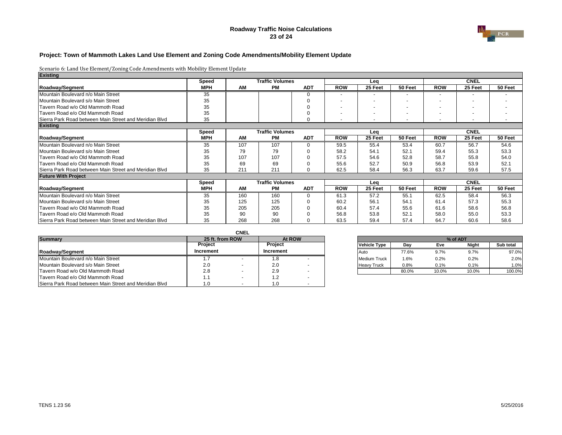### **Roadway Traffic Noise Calculations 23 of 24**



## **Project: Town of Mammoth Lakes Land Use Element and Zoning Code Amendments/Mobility Element Update**

| <b>Existing</b>                                        |              |     |                        |            |            |         |                          |            |             |                   |
|--------------------------------------------------------|--------------|-----|------------------------|------------|------------|---------|--------------------------|------------|-------------|-------------------|
|                                                        | <b>Speed</b> |     | <b>Traffic Volumes</b> |            |            | Lea     |                          |            | <b>CNEL</b> |                   |
| <b>Roadway/Segment</b>                                 | <b>MPH</b>   | AM  | <b>PM</b>              | <b>ADT</b> | <b>ROW</b> | 25 Feet | 50 Feet                  | <b>ROW</b> | 25 Feet     | 50 Feet           |
| Mountain Boulevard n/o Main Street                     | 35           |     |                        | 0          |            |         |                          |            |             |                   |
| Mountain Boulevard s/o Main Street                     | 35           |     |                        |            |            |         |                          |            |             |                   |
| Tavern Road w/o Old Mammoth Road                       | 35           |     |                        |            |            |         |                          |            |             |                   |
| Tavern Road e/o Old Mammoth Road                       | 35           |     |                        |            |            |         | $\overline{\phantom{0}}$ |            |             |                   |
| Sierra Park Road between Main Street and Meridian Blvd | 35           |     |                        | 0          |            |         |                          |            |             |                   |
| <b>Existing</b>                                        |              |     |                        |            |            |         |                          |            |             |                   |
|                                                        | <b>Speed</b> |     | <b>Traffic Volumes</b> |            |            | Lea     |                          |            | <b>CNEL</b> |                   |
| <b>Roadway/Segment</b>                                 | <b>MPH</b>   | AM  | <b>PM</b>              | <b>ADT</b> | <b>ROW</b> | 25 Feet | 50 Feet                  | <b>ROW</b> | 25 Feet     | 50 Feet           |
| Mountain Boulevard n/o Main Street                     | 35           | 107 | 107                    |            | 59.5       | 55.4    | 53.4                     | 60.7       | 56.7        | 54.6              |
| <b>IMountain Boulevard s/o Main Street</b>             | 35           | 79  | 79                     |            | 58.2       | 54.1    | 52.1                     | 59.4       | 55.3        | 53.3              |
| Tavern Road w/o Old Mammoth Road                       | 35           | 107 | 107                    |            | 57.5       | 54.6    | 52.8                     | 58.7       | 55.8        | 54.0              |
| Tavern Road e/o Old Mammoth Road                       | 35           | 69  | 69                     |            | 55.6       | 52.7    | 50.9                     | 56.8       | 53.9        | 52.1              |
| Sierra Park Road between Main Street and Meridian Blvd | 35           | 211 | 211                    | $\Omega$   | 62.5       | 58.4    | 56.3                     | 63.7       | 59.6        | 57.5              |
| <b>Future With Project</b>                             |              |     |                        |            |            |         |                          |            |             |                   |
|                                                        | <b>Speed</b> |     | <b>Traffic Volumes</b> |            |            | Lea     |                          |            | <b>CNEL</b> |                   |
| <b>Roadway/Segment</b>                                 | <b>MPH</b>   | AM  | <b>PM</b>              | <b>ADT</b> | <b>ROW</b> | 25 Feet | 50 Feet                  | <b>ROW</b> | 25 Feet     | 50 Feet           |
| Mountain Boulevard n/o Main Street                     | 35           | 160 | 160                    |            | 61.3       | 57.2    | 55.1                     | 62.5       | 58.4        | $\overline{56.3}$ |
| Mountain Boulevard s/o Main Street                     | 35           | 125 | 125                    |            | 60.2       | 56.1    | 54.1                     | 61.4       | 57.3        | 55.3              |
| Tavern Road w/o Old Mammoth Road                       | 35           | 205 | 205                    |            | 60.4       | 57.4    | 55.6                     | 61.6       | 58.6        | 56.8              |
| Tavern Road e/o Old Mammoth Road                       | 35           | 90  | 90                     |            | 56.8       | 53.8    | 52.1                     | 58.0       | 55.0        | 53.3              |
| Sierra Park Road between Main Street and Meridian Blvd | 35           | 268 | 268                    |            | 63.5       | 59.4    | 57.4                     | 64.7       | 60.6        | 58.6              |

|                                                        |                  | <b>CNEL</b> |                |                          |  |                     |       |       |       |           |  |
|--------------------------------------------------------|------------------|-------------|----------------|--------------------------|--|---------------------|-------|-------|-------|-----------|--|
| <b>Summary</b>                                         | 25 ft. from ROW  |             |                | At ROW                   |  | % of ADT            |       |       |       |           |  |
|                                                        | <b>Project</b>   |             | <b>Project</b> |                          |  | <b>Vehicle Type</b> | Dav   | Eve   | Night | Sub total |  |
| Roadway/Segment                                        | <b>Increment</b> |             | Increment      |                          |  | <b>Auto</b>         | 77.6% | 9.7%  | 9.7%  | 97.0%     |  |
| Mountain Boulevard n/o Main Street                     | l./              |             | l .8           |                          |  | <b>Medium Truck</b> | .6%،  | 0.2%  | 0.2%  | 2.0%      |  |
| Mountain Boulevard s/o Main Street                     | 2.0              |             | 2.0            |                          |  | <b>Heavy Truck</b>  | 0.8%  | 0.1%  | 0.1%  | 1.0%      |  |
| Tavern Road w/o Old Mammoth Road                       | 2.8              |             | 2.9            |                          |  |                     | 80.0% | 10.0% | 10.0% | 100.0%    |  |
| Tavern Road e/o Old Mammoth Road                       | 1.1              |             |                |                          |  |                     |       |       |       |           |  |
| Sierra Park Road between Main Street and Meridian Blvd | 1.0              |             |                | $\overline{\phantom{a}}$ |  |                     |       |       |       |           |  |

| 25 ft. from ROW |   |                  | At ROW                   |                     |       |       | % of ADT     |           |
|-----------------|---|------------------|--------------------------|---------------------|-------|-------|--------------|-----------|
| Project         |   | <b>Project</b>   |                          | <b>Vehicle Type</b> | Dav   | Eve   | <b>Night</b> | Sub total |
| ıcrement        |   | <b>Increment</b> |                          | Auto                | 77.6% | 9.7%  | $9.7\%$      | 97.0%     |
| ، 7             |   |                  |                          | Medium Truck        | .6%   | 0.2%  | 0.2%         | 2.0%      |
| 2.0             |   | 2.0              |                          | <b>Heavy Truck</b>  | 0.8%  | 0.1%  | 0.1%         | 1.0%      |
| 2.8             | - | 2.9              | $\overline{\phantom{a}}$ |                     | 80.0% | 10.0% | 10.0%        | 100.0%    |